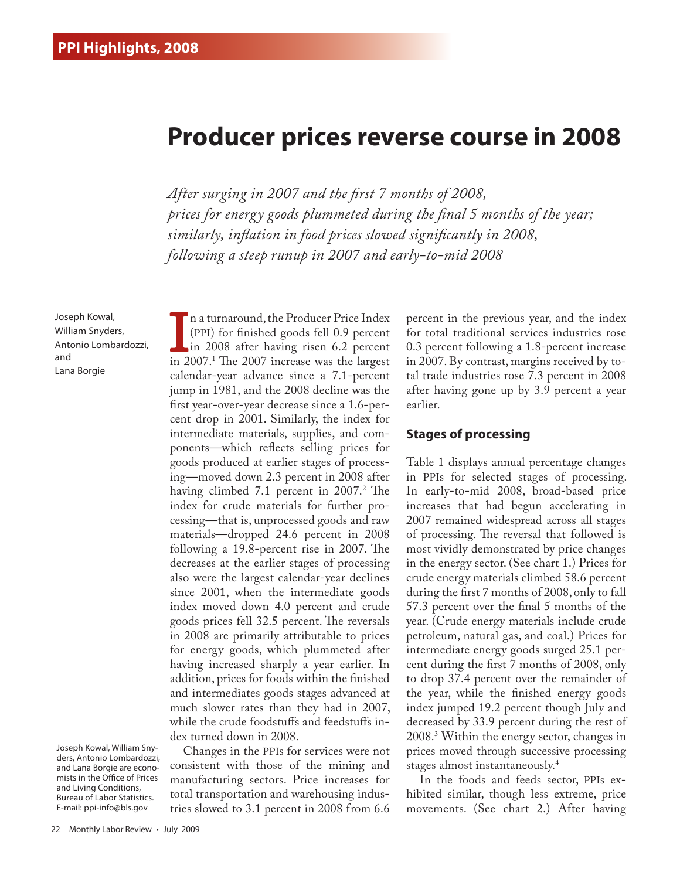## **Producer prices reverse course in 2008**

*After surging in 2007 and the first 7 months of 2008, prices for energy goods plummeted during the final 5 months of the year; similarly, inflation in food prices slowed significantly in 2008, following a steep runup in 2007 and early-to-mid 2008* 

Joseph Kowal, William Snyders, Antonio Lombardozzi, and Lana Borgie

Joseph Kowal, William Snyders, Antonio Lombardozzi, and Lana Borgie are economists in the Office of Prices and Living Conditions, Bureau of Labor Statistics. E-mail: ppi-info@bls.gov

In a turnaround, the 1 routeer 1 rice match<br>
(PPI) for finished goods fell 0.9 percent<br>
in 2007.<sup>1</sup> The 2007 increase was the largest n a turnaround, the Producer Price Index (PPI) for finished goods fell 0.9 percent in 2008 after having risen 6.2 percent calendar-year advance since a 7.1-percent jump in 1981, and the 2008 decline was the first year-over-year decrease since a 1.6-percent drop in 2001. Similarly, the index for intermediate materials, supplies, and components—which reflects selling prices for goods produced at earlier stages of processing—moved down 2.3 percent in 2008 after having climbed 7.1 percent in 2007.2 The index for crude materials for further processing—that is, unprocessed goods and raw materials—dropped 24.6 percent in 2008 following a 19.8-percent rise in 2007. The decreases at the earlier stages of processing also were the largest calendar-year declines since 2001, when the intermediate goods index moved down 4.0 percent and crude goods prices fell 32.5 percent. The reversals in 2008 are primarily attributable to prices for energy goods, which plummeted after having increased sharply a year earlier. In addition, prices for foods within the finished and intermediates goods stages advanced at much slower rates than they had in 2007, while the crude foodstuffs and feedstuffs index turned down in 2008.

Changes in the PPIs for services were not consistent with those of the mining and manufacturing sectors. Price increases for total transportation and warehousing industries slowed to 3.1 percent in 2008 from 6.6 percent in the previous year, and the index for total traditional services industries rose 0.3 percent following a 1.8-percent increase in 2007. By contrast, margins received by total trade industries rose 7.3 percent in 2008 after having gone up by 3.9 percent a year earlier.

### **Stages of processing**

Table 1 displays annual percentage changes in PPIs for selected stages of processing. In early-to-mid 2008, broad-based price increases that had begun accelerating in 2007 remained widespread across all stages of processing. The reversal that followed is most vividly demonstrated by price changes in the energy sector. (See chart 1.) Prices for crude energy materials climbed 58.6 percent during the first 7 months of 2008, only to fall 57.3 percent over the final 5 months of the year. (Crude energy materials include crude petroleum, natural gas, and coal.) Prices for intermediate energy goods surged 25.1 percent during the first 7 months of 2008, only to drop 37.4 percent over the remainder of the year, while the finished energy goods index jumped 19.2 percent though July and decreased by 33.9 percent during the rest of 2008.3 Within the energy sector, changes in prices moved through successive processing stages almost instantaneously.4

In the foods and feeds sector, PPIs exhibited similar, though less extreme, price movements. (See chart 2.) After having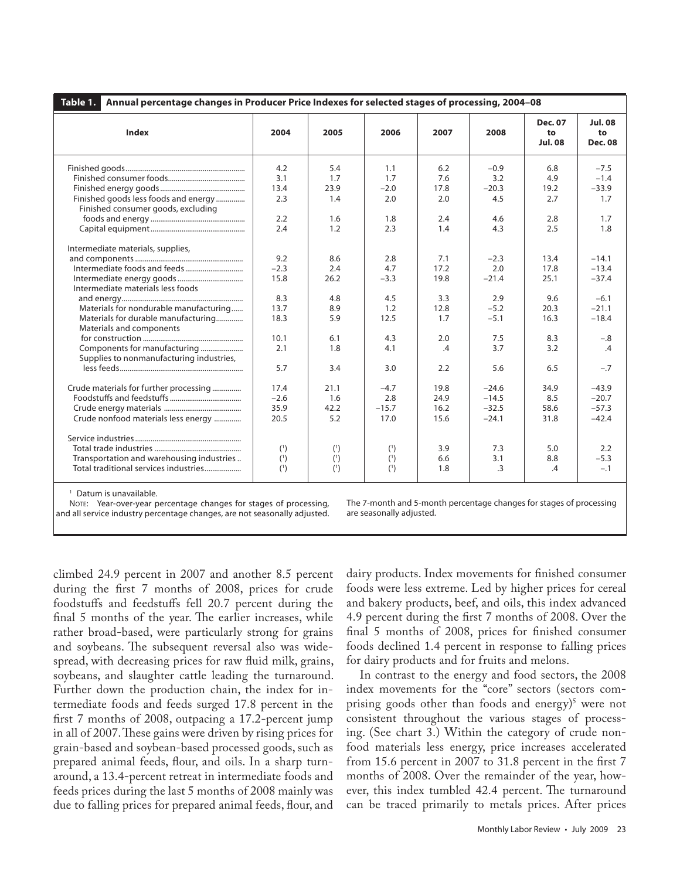| Table 1.<br>Annual percentage changes in Producer Price Indexes for selected stages of processing, 2004-08 |        |      |         |               |         |                                        |                                        |
|------------------------------------------------------------------------------------------------------------|--------|------|---------|---------------|---------|----------------------------------------|----------------------------------------|
| Index                                                                                                      | 2004   | 2005 | 2006    | 2007          | 2008    | <b>Dec. 07</b><br>to<br><b>Jul. 08</b> | <b>Jul. 08</b><br>to<br><b>Dec. 08</b> |
|                                                                                                            | 4.2    | 5.4  | 1.1     | 6.2           | $-0.9$  | 6.8                                    | $-7.5$                                 |
|                                                                                                            | 3.1    | 1.7  | 1.7     | 7.6           | 3.2     | 4.9                                    | $-1.4$                                 |
|                                                                                                            | 13.4   | 23.9 | $-2.0$  | 17.8          | $-20.3$ | 19.2                                   | $-33.9$                                |
| Finished goods less foods and energy                                                                       | 2.3    | 1.4  | 2.0     | 2.0           | 4.5     | 2.7                                    | 1.7                                    |
| Finished consumer goods, excluding                                                                         |        |      |         |               |         |                                        |                                        |
|                                                                                                            | 2.2    | 1.6  | 1.8     | 2.4           | 4.6     | 2.8                                    | 1.7                                    |
|                                                                                                            | 2.4    | 1.2  | 2.3     | 1.4           | 4.3     | 2.5                                    | 1.8                                    |
|                                                                                                            |        |      |         |               |         |                                        |                                        |
| Intermediate materials, supplies,                                                                          |        |      |         |               |         |                                        |                                        |
|                                                                                                            | 9.2    | 8.6  | 2.8     | 7.1           | $-2.3$  | 13.4                                   | $-14.1$                                |
|                                                                                                            | $-2.3$ | 2.4  | 4.7     | 17.2          | 2.0     | 17.8                                   | $-13.4$                                |
|                                                                                                            | 15.8   | 26.2 | $-3.3$  | 19.8          | $-21.4$ | 25.1                                   | $-37.4$                                |
| Intermediate materials less foods                                                                          |        |      |         |               |         |                                        |                                        |
|                                                                                                            | 8.3    | 4.8  | 4.5     | 3.3           | 2.9     | 9.6                                    | $-6.1$                                 |
| Materials for nondurable manufacturing                                                                     | 13.7   | 8.9  | 1.2     | 12.8          | $-5.2$  | 20.3                                   | $-21.1$                                |
| Materials for durable manufacturing                                                                        | 18.3   | 5.9  | 12.5    | 1.7           | $-5.1$  | 16.3                                   | $-18.4$                                |
| Materials and components                                                                                   |        |      |         |               |         |                                        |                                        |
|                                                                                                            | 10.1   | 6.1  | 4.3     | 2.0           | 7.5     | 8.3                                    | $-.8$                                  |
| Components for manufacturing                                                                               | 2.1    | 1.8  | 4.1     | $\mathcal{A}$ | 3.7     | 3.2                                    | $\mathcal{A}$                          |
| Supplies to nonmanufacturing industries,                                                                   |        |      |         |               |         |                                        |                                        |
|                                                                                                            | 5.7    | 3.4  | 3.0     | 2.2           | 5.6     | 6.5                                    | $-.7$                                  |
| Crude materials for further processing                                                                     | 17.4   | 21.1 | $-4.7$  | 19.8          | $-24.6$ | 34.9                                   | $-43.9$                                |
|                                                                                                            | $-2.6$ | 1.6  | 2.8     | 24.9          | $-14.5$ | 8.5                                    | $-20.7$                                |
|                                                                                                            | 35.9   | 42.2 | $-15.7$ | 16.2          | $-32.5$ | 58.6                                   | $-57.3$                                |
| Crude nonfood materials less energy                                                                        | 20.5   | 5.2  | 17.0    | 15.6          | $-24.1$ | 31.8                                   | $-42.4$                                |
|                                                                                                            |        |      |         |               |         |                                        |                                        |
|                                                                                                            |        |      |         |               |         |                                        |                                        |
|                                                                                                            | (1)    | (1)  | (1)     | 3.9           | 7.3     | 5.0                                    | 2.2                                    |
| Transportation and warehousing industries                                                                  | (1)    | (1)  | (1)     | 6.6           | 3.1     | 8.8                                    | $-5.3$                                 |
| Total traditional services industries                                                                      | (1)    | (1)  | $(1)$   | 1.8           | .3      | .4                                     | $-.1$                                  |
|                                                                                                            |        |      |         |               |         |                                        |                                        |

<sup>1</sup> Datum is unavailable.

NOTE: Year-over-year percentage changes for stages of processing, and all service industry percentage changes, are not seasonally adjusted. The 7-month and 5-month percentage changes for stages of processing are seasonally adjusted.

climbed 24.9 percent in 2007 and another 8.5 percent during the first 7 months of 2008, prices for crude foodstuffs and feedstuffs fell 20.7 percent during the final 5 months of the year. The earlier increases, while rather broad-based, were particularly strong for grains and soybeans. The subsequent reversal also was widespread, with decreasing prices for raw fluid milk, grains, soybeans, and slaughter cattle leading the turnaround. Further down the production chain, the index for intermediate foods and feeds surged 17.8 percent in the first 7 months of 2008, outpacing a 17.2-percent jump in all of 2007. These gains were driven by rising prices for grain-based and soybean-based processed goods, such as prepared animal feeds, flour, and oils. In a sharp turnaround, a 13.4-percent retreat in intermediate foods and feeds prices during the last 5 months of 2008 mainly was due to falling prices for prepared animal feeds, flour, and

dairy products. Index movements for finished consumer foods were less extreme. Led by higher prices for cereal and bakery products, beef, and oils, this index advanced 4.9 percent during the first 7 months of 2008. Over the final 5 months of 2008, prices for finished consumer foods declined 1.4 percent in response to falling prices for dairy products and for fruits and melons.

In contrast to the energy and food sectors, the 2008 index movements for the "core" sectors (sectors comprising goods other than foods and energy)<sup>5</sup> were not consistent throughout the various stages of processing. (See chart 3.) Within the category of crude nonfood materials less energy, price increases accelerated from 15.6 percent in 2007 to 31.8 percent in the first 7 months of 2008. Over the remainder of the year, however, this index tumbled 42.4 percent. The turnaround can be traced primarily to metals prices. After prices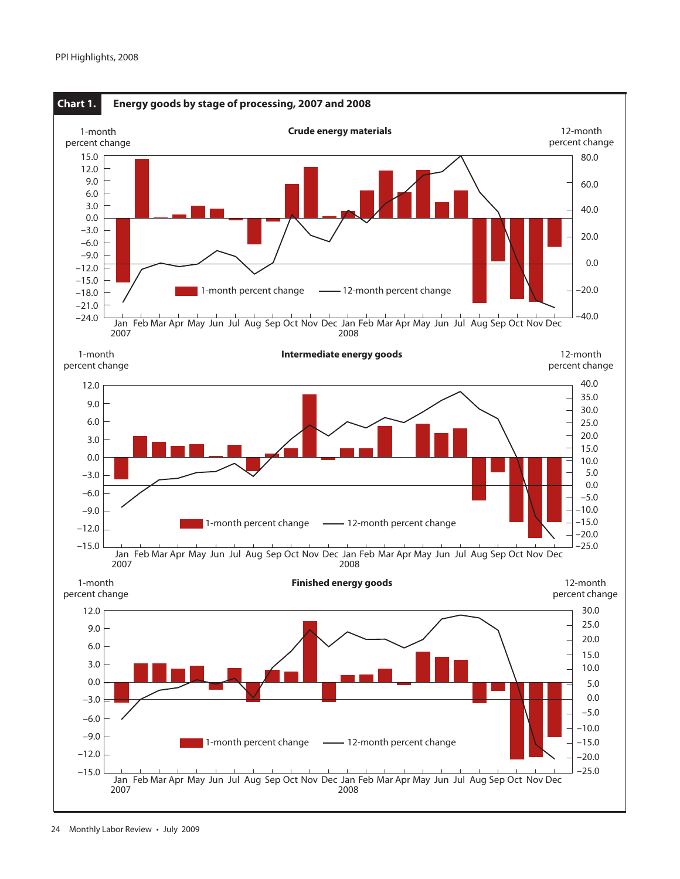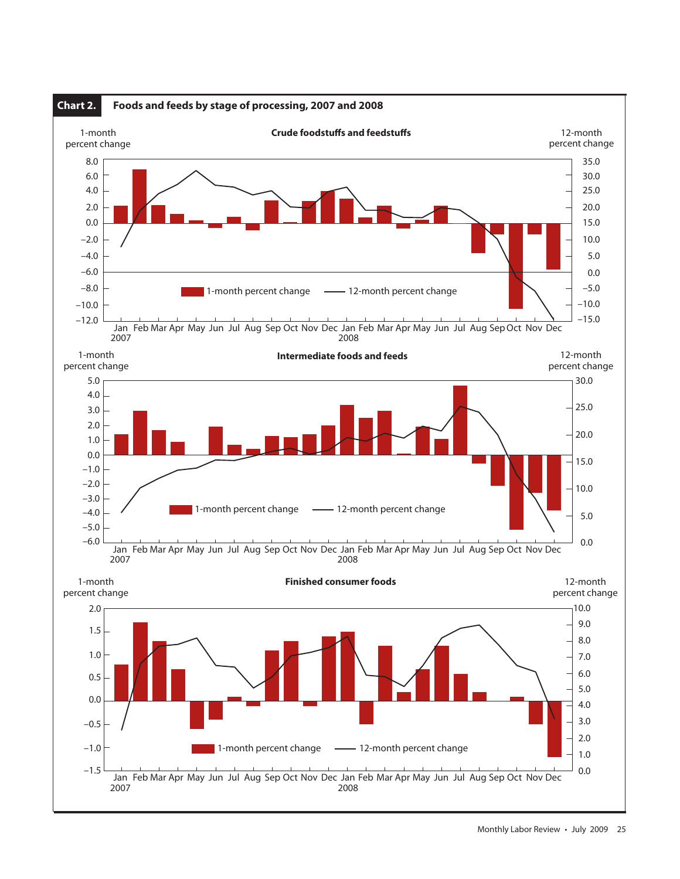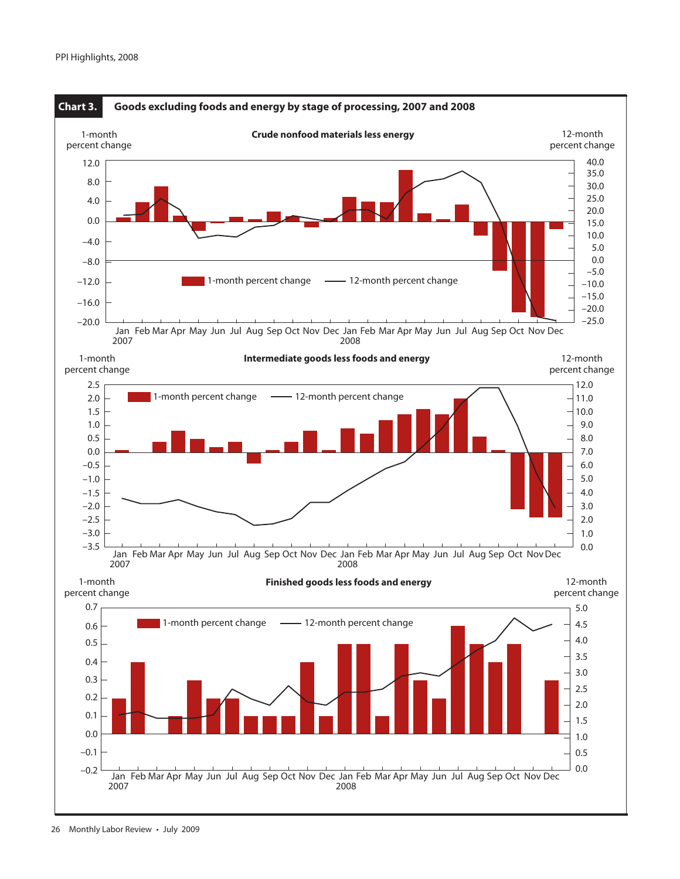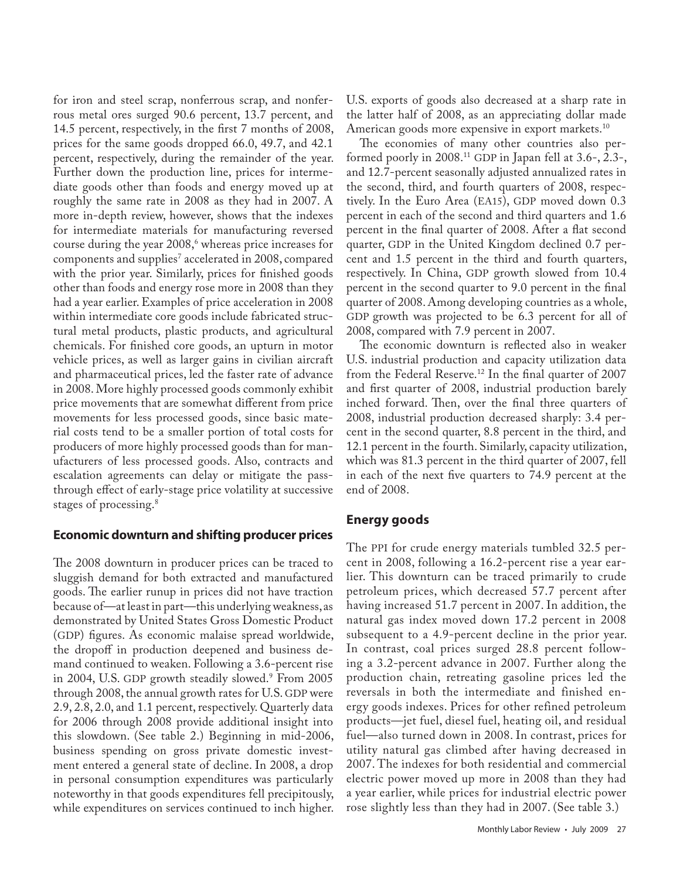for iron and steel scrap, nonferrous scrap, and nonferrous metal ores surged 90.6 percent, 13.7 percent, and 14.5 percent, respectively, in the first 7 months of 2008, prices for the same goods dropped 66.0, 49.7, and 42.1 percent, respectively, during the remainder of the year. Further down the production line, prices for intermediate goods other than foods and energy moved up at roughly the same rate in 2008 as they had in 2007. A more in-depth review, however, shows that the indexes for intermediate materials for manufacturing reversed course during the year 2008,<sup>6</sup> whereas price increases for components and supplies7 accelerated in 2008, compared with the prior year. Similarly, prices for finished goods other than foods and energy rose more in 2008 than they had a year earlier. Examples of price acceleration in 2008 within intermediate core goods include fabricated structural metal products, plastic products, and agricultural chemicals. For finished core goods, an upturn in motor vehicle prices, as well as larger gains in civilian aircraft and pharmaceutical prices, led the faster rate of advance in 2008. More highly processed goods commonly exhibit price movements that are somewhat different from price movements for less processed goods, since basic material costs tend to be a smaller portion of total costs for producers of more highly processed goods than for manufacturers of less processed goods. Also, contracts and escalation agreements can delay or mitigate the passthrough effect of early-stage price volatility at successive stages of processing.<sup>8</sup>

## **Economic downturn and shifting producer prices**

The 2008 downturn in producer prices can be traced to sluggish demand for both extracted and manufactured goods. The earlier runup in prices did not have traction because of—at least in part—this underlying weakness, as demonstrated by United States Gross Domestic Product (GDP) figures. As economic malaise spread worldwide, the dropoff in production deepened and business demand continued to weaken. Following a 3.6-percent rise in 2004, U.S. GDP growth steadily slowed.9 From 2005 through 2008, the annual growth rates for U.S. GDP were 2.9, 2.8, 2.0, and 1.1 percent, respectively. Quarterly data for 2006 through 2008 provide additional insight into this slowdown. (See table 2.) Beginning in mid-2006, business spending on gross private domestic investment entered a general state of decline. In 2008, a drop in personal consumption expenditures was particularly noteworthy in that goods expenditures fell precipitously, while expenditures on services continued to inch higher.

U.S. exports of goods also decreased at a sharp rate in the latter half of 2008, as an appreciating dollar made American goods more expensive in export markets.<sup>10</sup>

The economies of many other countries also performed poorly in 2008.11 GDP in Japan fell at 3.6-, 2.3-, and 12.7-percent seasonally adjusted annualized rates in the second, third, and fourth quarters of 2008, respectively. In the Euro Area (EA15), GDP moved down 0.3 percent in each of the second and third quarters and 1.6 percent in the final quarter of 2008. After a flat second quarter, GDP in the United Kingdom declined 0.7 percent and 1.5 percent in the third and fourth quarters, respectively. In China, GDP growth slowed from 10.4 percent in the second quarter to 9.0 percent in the final quarter of 2008. Among developing countries as a whole, GDP growth was projected to be 6.3 percent for all of 2008, compared with 7.9 percent in 2007.

The economic downturn is reflected also in weaker U.S. industrial production and capacity utilization data from the Federal Reserve.<sup>12</sup> In the final quarter of 2007 and first quarter of 2008, industrial production barely inched forward. Then, over the final three quarters of 2008, industrial production decreased sharply: 3.4 percent in the second quarter, 8.8 percent in the third, and 12.1 percent in the fourth. Similarly, capacity utilization, which was 81.3 percent in the third quarter of 2007, fell in each of the next five quarters to 74.9 percent at the end of 2008.

## **Energy goods**

The PPI for crude energy materials tumbled 32.5 percent in 2008, following a 16.2-percent rise a year earlier. This downturn can be traced primarily to crude petroleum prices, which decreased 57.7 percent after having increased 51.7 percent in 2007. In addition, the natural gas index moved down 17.2 percent in 2008 subsequent to a 4.9-percent decline in the prior year. In contrast, coal prices surged 28.8 percent following a 3.2-percent advance in 2007. Further along the production chain, retreating gasoline prices led the reversals in both the intermediate and finished energy goods indexes. Prices for other refined petroleum products—jet fuel, diesel fuel, heating oil, and residual fuel—also turned down in 2008. In contrast, prices for utility natural gas climbed after having decreased in 2007. The indexes for both residential and commercial electric power moved up more in 2008 than they had a year earlier, while prices for industrial electric power rose slightly less than they had in 2007. (See table 3.)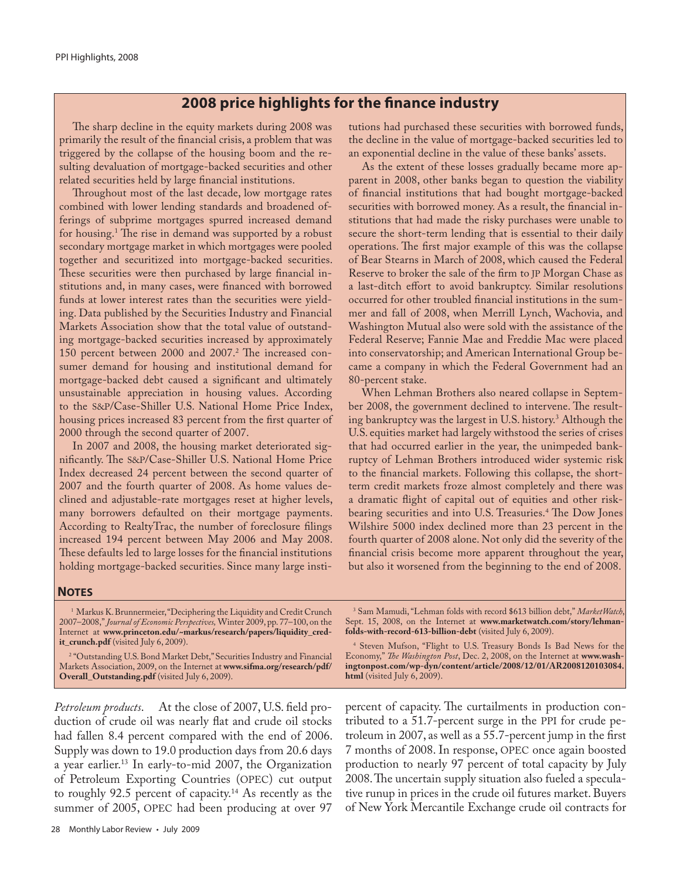## **2008 price highlights for the finance industry**

The sharp decline in the equity markets during 2008 was primarily the result of the financial crisis, a problem that was triggered by the collapse of the housing boom and the resulting devaluation of mortgage-backed securities and other related securities held by large financial institutions.

Throughout most of the last decade, low mortgage rates combined with lower lending standards and broadened offerings of subprime mortgages spurred increased demand for housing.1 The rise in demand was supported by a robust secondary mortgage market in which mortgages were pooled together and securitized into mortgage-backed securities. These securities were then purchased by large financial institutions and, in many cases, were financed with borrowed funds at lower interest rates than the securities were yielding. Data published by the Securities Industry and Financial Markets Association show that the total value of outstanding mortgage-backed securities increased by approximately 150 percent between 2000 and 2007.2 The increased consumer demand for housing and institutional demand for mortgage-backed debt caused a significant and ultimately unsustainable appreciation in housing values. According to the S&P/Case-Shiller U.S. National Home Price Index, housing prices increased 83 percent from the first quarter of 2000 through the second quarter of 2007.

In 2007 and 2008, the housing market deteriorated significantly. The S&P/Case-Shiller U.S. National Home Price Index decreased 24 percent between the second quarter of 2007 and the fourth quarter of 2008. As home values declined and adjustable-rate mortgages reset at higher levels, many borrowers defaulted on their mortgage payments. According to RealtyTrac, the number of foreclosure filings increased 194 percent between May 2006 and May 2008. These defaults led to large losses for the financial institutions holding mortgage-backed securities. Since many large institutions had purchased these securities with borrowed funds, the decline in the value of mortgage-backed securities led to an exponential decline in the value of these banks' assets.

As the extent of these losses gradually became more apparent in 2008, other banks began to question the viability of financial institutions that had bought mortgage-backed securities with borrowed money. As a result, the financial institutions that had made the risky purchases were unable to secure the short-term lending that is essential to their daily operations. The first major example of this was the collapse of Bear Stearns in March of 2008, which caused the Federal Reserve to broker the sale of the firm to JP Morgan Chase as a last-ditch effort to avoid bankruptcy. Similar resolutions occurred for other troubled financial institutions in the summer and fall of 2008, when Merrill Lynch, Wachovia, and Washington Mutual also were sold with the assistance of the Federal Reserve; Fannie Mae and Freddie Mac were placed into conservatorship; and American International Group became a company in which the Federal Government had an 80-percent stake.

When Lehman Brothers also neared collapse in September 2008, the government declined to intervene. The resulting bankruptcy was the largest in U.S. history.3 Although the U.S. equities market had largely withstood the series of crises that had occurred earlier in the year, the unimpeded bankruptcy of Lehman Brothers introduced wider systemic risk to the financial markets. Following this collapse, the shortterm credit markets froze almost completely and there was a dramatic flight of capital out of equities and other riskbearing securities and into U.S. Treasuries.4 The Dow Jones Wilshire 5000 index declined more than 23 percent in the fourth quarter of 2008 alone. Not only did the severity of the financial crisis become more apparent throughout the year, but also it worsened from the beginning to the end of 2008.

#### **NOTES**

<sup>1</sup> Markus K. Brunnermeier, "Deciphering the Liquidity and Credit Crunch 2007–2008," *Journal of Economic Perspectives,* Winter 2009, pp. 77–100, on the Internet at **www.princeton.edu/~markus/research/papers/liquidity\_credit\_crunch.pdf** (visited July 6, 2009).

2 "Outstanding U.S. Bond Market Debt," Securities Industry and Financial Markets Association, 2009, on the Internet at **www.sifma.org/research/pdf/ Overall\_Outstanding.pdf** (visited July 6, 2009).

3 Sam Mamudi, "Lehman folds with record \$613 billion debt," *MarketWatch*, Sept. 15, 2008, on the Internet at **www.marketwatch.com/story/lehmanfolds-with-record-613-billion-debt** (visited July 6, 2009).

4 Steven Mufson, "Flight to U.S. Treasury Bonds Is Bad News for the Economy," *The Washington Post*, Dec. 2, 2008, on the Internet at **www.washingtonpost.com/wp-dyn/content/article/2008/12/01/AR2008120103084. html** (visited July 6, 2009).

*Petroleum products*. At the close of 2007, U.S. field production of crude oil was nearly flat and crude oil stocks had fallen 8.4 percent compared with the end of 2006. Supply was down to 19.0 production days from 20.6 days a year earlier.13 In early-to-mid 2007, the Organization of Petroleum Exporting Countries (OPEC) cut output to roughly 92.5 percent of capacity.<sup>14</sup> As recently as the summer of 2005, OPEC had been producing at over 97

percent of capacity. The curtailments in production contributed to a 51.7-percent surge in the PPI for crude petroleum in 2007, as well as a 55.7-percent jump in the first 7 months of 2008. In response, OPEC once again boosted production to nearly 97 percent of total capacity by July 2008. The uncertain supply situation also fueled a speculative runup in prices in the crude oil futures market. Buyers of New York Mercantile Exchange crude oil contracts for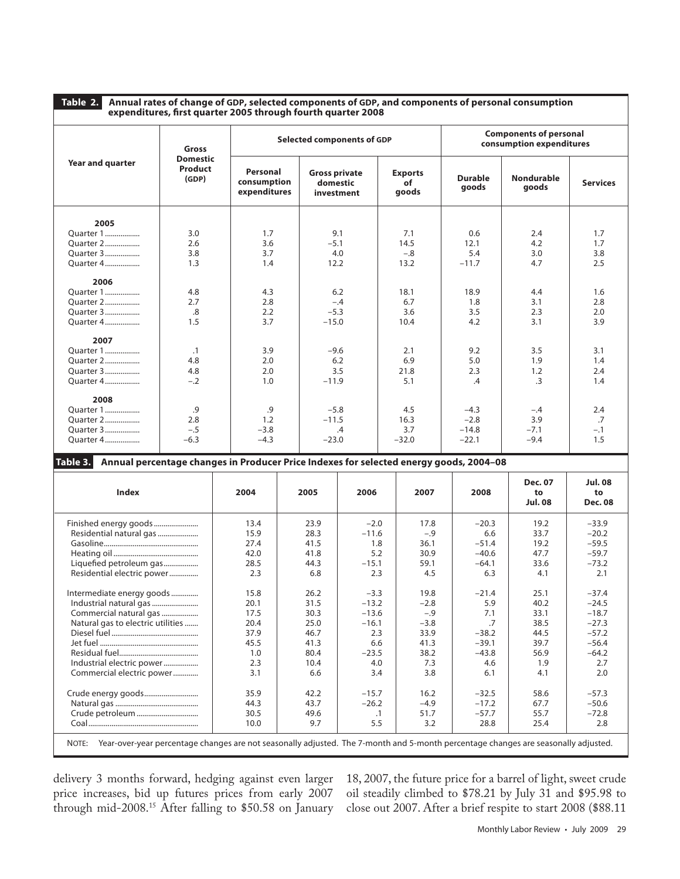**Table 2. Annual rates of change of GDP, selected components of GDP, and components of personal consumption expenditures, first quarter 2005 through fourth quarter 2008** 

|                                                                                                                                          | Gross                                                                                  | Selected components of GDP              |  |                                                |           |  | <b>Components of personal</b><br>consumption expenditures |                         |                                        |                                        |
|------------------------------------------------------------------------------------------------------------------------------------------|----------------------------------------------------------------------------------------|-----------------------------------------|--|------------------------------------------------|-----------|--|-----------------------------------------------------------|-------------------------|----------------------------------------|----------------------------------------|
| Year and quarter                                                                                                                         | <b>Domestic</b><br>Product<br>(GDP)                                                    | Personal<br>consumption<br>expenditures |  | <b>Gross private</b><br>domestic<br>investment |           |  | <b>Exports</b><br>of<br>goods                             | <b>Durable</b><br>goods | Nondurable<br>goods                    | <b>Services</b>                        |
| 2005                                                                                                                                     |                                                                                        |                                         |  |                                                |           |  |                                                           |                         |                                        |                                        |
| Quarter 1                                                                                                                                | 3.0                                                                                    | 1.7                                     |  | 9.1                                            |           |  | 7.1                                                       | 0.6                     | 2.4                                    | 1.7                                    |
| Quarter 2                                                                                                                                | 2.6                                                                                    | 3.6                                     |  | $-5.1$                                         |           |  | 14.5                                                      | 12.1                    | 4.2                                    | 1.7                                    |
| Quarter 3                                                                                                                                | 3.8                                                                                    | 3.7                                     |  | 4.0                                            |           |  | $-.8$                                                     | 5.4                     | 3.0                                    | 3.8                                    |
| Quarter 4                                                                                                                                | 1.3                                                                                    | 1.4                                     |  | 12.2                                           |           |  | 13.2                                                      | $-11.7$                 | 4.7                                    | 2.5                                    |
| 2006                                                                                                                                     |                                                                                        |                                         |  |                                                |           |  |                                                           |                         |                                        |                                        |
| Quarter 1                                                                                                                                | 4.8                                                                                    | 4.3                                     |  | 6.2                                            |           |  | 18.1                                                      | 18.9                    | 4.4                                    | 1.6                                    |
| Quarter 2                                                                                                                                | 2.7                                                                                    | 2.8                                     |  | $-.4$                                          |           |  | 6.7                                                       | 1.8                     | 3.1                                    | 2.8                                    |
| Quarter 3                                                                                                                                | .8                                                                                     | 2.2                                     |  | $-5.3$                                         |           |  | 3.6                                                       | 3.5                     | 2.3                                    | 2.0                                    |
| Quarter 4                                                                                                                                | 1.5                                                                                    | 3.7                                     |  | $-15.0$                                        |           |  | 10.4                                                      | 4.2                     | 3.1                                    | 3.9                                    |
|                                                                                                                                          |                                                                                        |                                         |  |                                                |           |  |                                                           |                         |                                        |                                        |
| 2007                                                                                                                                     |                                                                                        |                                         |  |                                                |           |  |                                                           |                         |                                        |                                        |
| Quarter 1                                                                                                                                | $\cdot$ 1                                                                              | 3.9                                     |  | $-9.6$                                         |           |  | 2.1                                                       | 9.2                     | 3.5                                    | 3.1                                    |
| Quarter 2                                                                                                                                | 4.8                                                                                    | 2.0                                     |  |                                                | 6.2       |  | 6.9                                                       | 5.0                     | 1.9                                    | 1.4                                    |
| Quarter 3                                                                                                                                | 4.8                                                                                    | 2.0                                     |  |                                                | 3.5       |  | 21.8                                                      | 2.3                     | 1.2                                    | 2.4                                    |
| Quarter 4                                                                                                                                | $-.2$                                                                                  | 1.0                                     |  | $-11.9$                                        |           |  | 5.1                                                       | .4                      | .3                                     | 1.4                                    |
|                                                                                                                                          |                                                                                        |                                         |  |                                                |           |  |                                                           |                         |                                        |                                        |
| 2008                                                                                                                                     |                                                                                        |                                         |  |                                                |           |  |                                                           |                         |                                        |                                        |
| Quarter 1                                                                                                                                | .9                                                                                     | .9                                      |  | $-5.8$                                         |           |  | 4.5                                                       | $-4.3$                  | $-.4$                                  | 2.4                                    |
| Quarter 2                                                                                                                                | 2.8                                                                                    | 1.2                                     |  | $-11.5$                                        |           |  | 16.3                                                      | $-2.8$                  | 3.9                                    | .7                                     |
| Quarter 3                                                                                                                                | $-.5$                                                                                  | $-3.8$                                  |  |                                                | $\cdot$   |  | 3.7                                                       | $-14.8$                 | $-7.1$                                 | $-.1$                                  |
| Quarter 4                                                                                                                                | $-6.3$                                                                                 | $-4.3$                                  |  | $-23.0$                                        |           |  | $-32.0$                                                   | $-22.1$                 | $-9.4$                                 | 1.5                                    |
| Table 3.                                                                                                                                 | Annual percentage changes in Producer Price Indexes for selected energy goods, 2004-08 |                                         |  |                                                |           |  |                                                           |                         |                                        |                                        |
|                                                                                                                                          |                                                                                        |                                         |  |                                                |           |  |                                                           |                         |                                        |                                        |
| <b>Index</b>                                                                                                                             |                                                                                        | 2004                                    |  | 2005                                           | 2006      |  | 2007                                                      | 2008                    | <b>Dec. 07</b><br>to<br><b>Jul. 08</b> | <b>Jul. 08</b><br>to<br><b>Dec. 08</b> |
| Finished energy goods                                                                                                                    |                                                                                        | 13.4                                    |  | 23.9                                           | $-2.0$    |  | 17.8                                                      | $-20.3$                 | 19.2                                   | $-33.9$                                |
| Residential natural gas                                                                                                                  |                                                                                        | 15.9                                    |  | 28.3                                           | $-11.6$   |  | $-.9$                                                     | 6.6                     | 33.7                                   | $-20.2$                                |
|                                                                                                                                          |                                                                                        | 27.4                                    |  | 41.5                                           | 1.8       |  | 36.1                                                      | $-51.4$                 | 19.2                                   | $-59.5$                                |
|                                                                                                                                          |                                                                                        | 42.0                                    |  | 41.8                                           | 5.2       |  | 30.9                                                      | $-40.6$                 | 47.7                                   | $-59.7$                                |
| Liquefied petroleum gas                                                                                                                  |                                                                                        | 28.5                                    |  | 44.3                                           | $-15.1$   |  | 59.1                                                      | $-64.1$                 | 33.6                                   | $-73.2$                                |
| Residential electric power                                                                                                               |                                                                                        | 2.3                                     |  | 6.8                                            | 2.3       |  | 4.5                                                       | 6.3                     | 4.1                                    | 2.1                                    |
|                                                                                                                                          |                                                                                        |                                         |  |                                                |           |  |                                                           |                         |                                        |                                        |
| Intermediate energy goods                                                                                                                |                                                                                        | 15.8                                    |  | 26.2                                           | $-3.3$    |  | 19.8                                                      | $-21.4$                 | 25.1                                   | $-37.4$                                |
| Industrial natural gas                                                                                                                   |                                                                                        | 20.1                                    |  | 31.5                                           | $-13.2$   |  | $-2.8$                                                    | 5.9                     | 40.2                                   | $-24.5$                                |
| Commercial natural gas                                                                                                                   |                                                                                        | 17.5                                    |  | 30.3                                           | $-13.6$   |  | $-.9$                                                     | 7.1                     | 33.1                                   | $-18.7$                                |
| Natural gas to electric utilities                                                                                                        |                                                                                        | 20.4                                    |  | 25.0                                           | $-16.1$   |  | $-3.8$                                                    | .7                      | 38.5                                   | $-27.3$                                |
|                                                                                                                                          |                                                                                        | 37.9                                    |  | 46.7                                           | 2.3       |  | 33.9                                                      | $-38.2$                 | 44.5                                   | $-57.2$                                |
|                                                                                                                                          |                                                                                        | 45.5                                    |  | 41.3                                           | 6.6       |  | 41.3                                                      | $-39.1$                 | 39.7                                   | $-56.4$                                |
|                                                                                                                                          |                                                                                        | 1.0                                     |  | 80.4                                           | $-23.5$   |  | 38.2                                                      | $-43.8$                 | 56.9                                   | $-64.2$                                |
| Industrial electric power                                                                                                                |                                                                                        | 2.3                                     |  | 10.4                                           | 4.0       |  | 7.3                                                       | 4.6                     | 1.9                                    | 2.7                                    |
| Commercial electric power                                                                                                                |                                                                                        | 3.1                                     |  | 6.6                                            | 3.4       |  | 3.8                                                       | 6.1                     | 4.1                                    | 2.0                                    |
|                                                                                                                                          |                                                                                        |                                         |  |                                                |           |  |                                                           |                         |                                        |                                        |
| Crude energy goods                                                                                                                       |                                                                                        | 35.9                                    |  | 42.2                                           | $-15.7$   |  | 16.2                                                      | $-32.5$                 | 58.6                                   | $-57.3$                                |
|                                                                                                                                          |                                                                                        | 44.3                                    |  | 43.7                                           | $-26.2$   |  | $-4.9$                                                    | $-17.2$                 | 67.7                                   | $-50.6$                                |
|                                                                                                                                          |                                                                                        | 30.5                                    |  | 49.6                                           | $\cdot$ 1 |  | 51.7                                                      | $-57.7$                 | 55.7                                   | $-72.8$                                |
|                                                                                                                                          |                                                                                        | 10.0                                    |  | 9.7                                            | 5.5       |  | 3.2                                                       | 28.8                    | 25.4                                   | 2.8                                    |
| NOTE: Year-over-year percentage changes are not seasonally adjusted. The 7-month and 5-month percentage changes are seasonally adjusted. |                                                                                        |                                         |  |                                                |           |  |                                                           |                         |                                        |                                        |

delivery 3 months forward, hedging against even larger price increases, bid up futures prices from early 2007 through mid-2008.15 After falling to \$50.58 on January 18, 2007, the future price for a barrel of light, sweet crude oil steadily climbed to \$78.21 by July 31 and \$95.98 to close out 2007. After a brief respite to start 2008 (\$88.11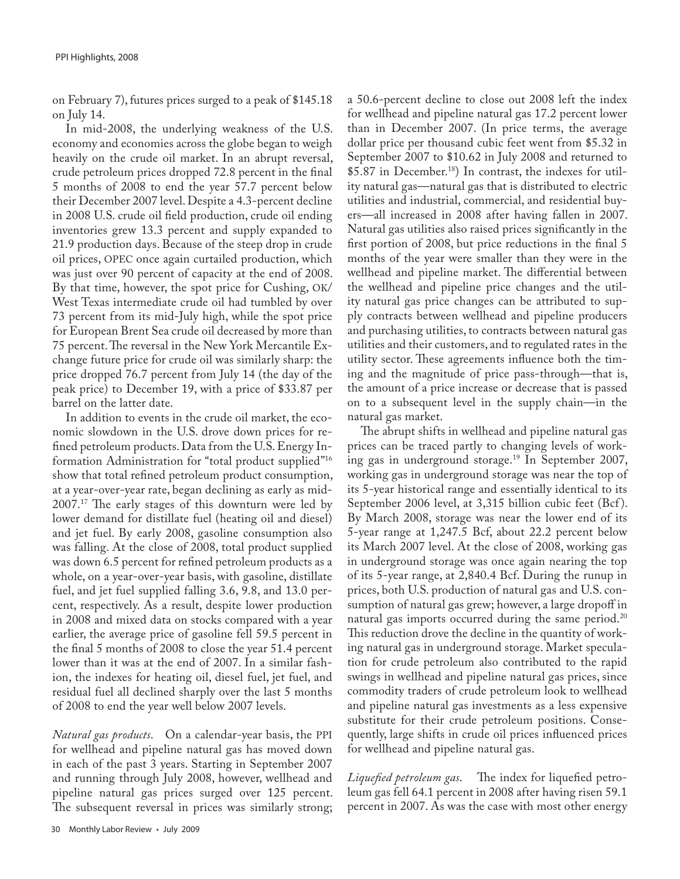on February 7), futures prices surged to a peak of \$145.18 on July 14.

In mid-2008, the underlying weakness of the U.S. economy and economies across the globe began to weigh heavily on the crude oil market. In an abrupt reversal, crude petroleum prices dropped 72.8 percent in the final 5 months of 2008 to end the year 57.7 percent below their December 2007 level. Despite a 4.3-percent decline in 2008 U.S. crude oil field production, crude oil ending inventories grew 13.3 percent and supply expanded to 21.9 production days. Because of the steep drop in crude oil prices, OPEC once again curtailed production, which was just over 90 percent of capacity at the end of 2008. By that time, however, the spot price for Cushing, OK/ West Texas intermediate crude oil had tumbled by over 73 percent from its mid-July high, while the spot price for European Brent Sea crude oil decreased by more than 75 percent. The reversal in the New York Mercantile Exchange future price for crude oil was similarly sharp: the price dropped 76.7 percent from July 14 (the day of the peak price) to December 19, with a price of \$33.87 per barrel on the latter date.

In addition to events in the crude oil market, the economic slowdown in the U.S. drove down prices for refined petroleum products. Data from the U.S. Energy Information Administration for "total product supplied"16 show that total refined petroleum product consumption, at a year-over-year rate, began declining as early as mid-2007.17 The early stages of this downturn were led by lower demand for distillate fuel (heating oil and diesel) and jet fuel. By early 2008, gasoline consumption also was falling. At the close of 2008, total product supplied was down 6.5 percent for refined petroleum products as a whole, on a year-over-year basis, with gasoline, distillate fuel, and jet fuel supplied falling 3.6, 9.8, and 13.0 percent, respectively. As a result, despite lower production in 2008 and mixed data on stocks compared with a year earlier, the average price of gasoline fell 59.5 percent in the final 5 months of 2008 to close the year 51.4 percent lower than it was at the end of 2007. In a similar fashion, the indexes for heating oil, diesel fuel, jet fuel, and residual fuel all declined sharply over the last 5 months of 2008 to end the year well below 2007 levels.

*Natural gas products*. On a calendar-year basis, the PPI for wellhead and pipeline natural gas has moved down in each of the past 3 years. Starting in September 2007 and running through July 2008, however, wellhead and pipeline natural gas prices surged over 125 percent. The subsequent reversal in prices was similarly strong;

a 50.6-percent decline to close out 2008 left the index for wellhead and pipeline natural gas 17.2 percent lower than in December 2007. (In price terms, the average dollar price per thousand cubic feet went from \$5.32 in September 2007 to \$10.62 in July 2008 and returned to \$5.87 in December.18) In contrast, the indexes for utility natural gas—natural gas that is distributed to electric utilities and industrial, commercial, and residential buyers—all increased in 2008 after having fallen in 2007. Natural gas utilities also raised prices significantly in the first portion of 2008, but price reductions in the final 5 months of the year were smaller than they were in the wellhead and pipeline market. The differential between the wellhead and pipeline price changes and the utility natural gas price changes can be attributed to supply contracts between wellhead and pipeline producers and purchasing utilities, to contracts between natural gas utilities and their customers, and to regulated rates in the utility sector. These agreements influence both the timing and the magnitude of price pass-through—that is, the amount of a price increase or decrease that is passed on to a subsequent level in the supply chain—in the natural gas market.

The abrupt shifts in wellhead and pipeline natural gas prices can be traced partly to changing levels of working gas in underground storage.19 In September 2007, working gas in underground storage was near the top of its 5-year historical range and essentially identical to its September 2006 level, at 3,315 billion cubic feet (Bcf ). By March 2008, storage was near the lower end of its 5-year range at 1,247.5 Bcf, about 22.2 percent below its March 2007 level. At the close of 2008, working gas in underground storage was once again nearing the top of its 5-year range, at 2,840.4 Bcf. During the runup in prices, both U.S. production of natural gas and U.S. consumption of natural gas grew; however, a large dropoff in natural gas imports occurred during the same period.<sup>20</sup> This reduction drove the decline in the quantity of working natural gas in underground storage. Market speculation for crude petroleum also contributed to the rapid swings in wellhead and pipeline natural gas prices, since commodity traders of crude petroleum look to wellhead and pipeline natural gas investments as a less expensive substitute for their crude petroleum positions. Consequently, large shifts in crude oil prices influenced prices for wellhead and pipeline natural gas.

*Liquefied petroleum gas*. The index for liquefied petroleum gas fell 64.1 percent in 2008 after having risen 59.1 percent in 2007. As was the case with most other energy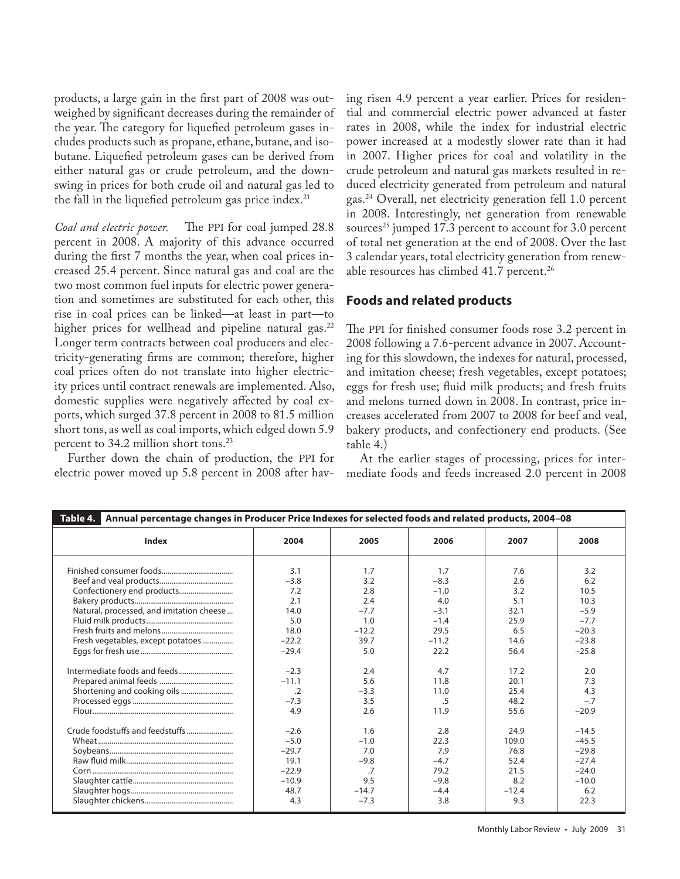products, a large gain in the first part of 2008 was outweighed by significant decreases during the remainder of the year. The category for liquefied petroleum gases includes products such as propane, ethane, butane, and isobutane. Liquefied petroleum gases can be derived from either natural gas or crude petroleum, and the downswing in prices for both crude oil and natural gas led to the fall in the liquefied petroleum gas price index. $21$ 

*Coal and electric power.* The PPI for coal jumped 28.8 percent in 2008. A majority of this advance occurred during the first 7 months the year, when coal prices increased 25.4 percent. Since natural gas and coal are the two most common fuel inputs for electric power generation and sometimes are substituted for each other, this rise in coal prices can be linked—at least in part—to higher prices for wellhead and pipeline natural gas.<sup>22</sup> Longer term contracts between coal producers and electricity-generating firms are common; therefore, higher coal prices often do not translate into higher electricity prices until contract renewals are implemented. Also, domestic supplies were negatively affected by coal exports, which surged 37.8 percent in 2008 to 81.5 million short tons, as well as coal imports, which edged down 5.9 percent to 34.2 million short tons.<sup>23</sup>

Further down the chain of production, the PPI for electric power moved up 5.8 percent in 2008 after having risen 4.9 percent a year earlier. Prices for residential and commercial electric power advanced at faster rates in 2008, while the index for industrial electric power increased at a modestly slower rate than it had in 2007. Higher prices for coal and volatility in the crude petroleum and natural gas markets resulted in reduced electricity generated from petroleum and natural gas.24 Overall, net electricity generation fell 1.0 percent in 2008. Interestingly, net generation from renewable sources<sup>25</sup> jumped 17.3 percent to account for 3.0 percent of total net generation at the end of 2008. Over the last 3 calendar years, total electricity generation from renewable resources has climbed  $41.7$  percent.<sup>26</sup>

## **Foods and related products**

The PPI for finished consumer foods rose 3.2 percent in 2008 following a 7.6-percent advance in 2007. Accounting for this slowdown, the indexes for natural, processed, and imitation cheese; fresh vegetables, except potatoes; eggs for fresh use; fluid milk products; and fresh fruits and melons turned down in 2008. In contrast, price increases accelerated from 2007 to 2008 for beef and veal, bakery products, and confectionery end products. (See table 4.)

At the earlier stages of processing, prices for intermediate foods and feeds increased 2.0 percent in 2008

| Table 4. Annual percentage changes in Producer Price Indexes for selected foods and related products, 2004-08 |            |         |         |         |         |
|---------------------------------------------------------------------------------------------------------------|------------|---------|---------|---------|---------|
| <b>Index</b>                                                                                                  | 2004       | 2005    | 2006    | 2007    | 2008    |
|                                                                                                               | 3.1        | 1.7     | 1.7     | 7.6     | 3.2     |
|                                                                                                               | $-3.8$     | 3.2     | $-8.3$  | 2.6     | 6.2     |
|                                                                                                               | 7.2        | 2.8     | $-1.0$  | 3.2     | 10.5    |
|                                                                                                               | 2.1        | 2.4     | 4.0     | 5.1     | 10.3    |
| Natural, processed, and imitation cheese                                                                      | 14.0       | $-7.7$  | $-3.1$  | 32.1    | $-5.9$  |
|                                                                                                               | 5.0        | 1.0     | $-1.4$  | 25.9    | $-7.7$  |
|                                                                                                               | 18.0       | $-12.2$ | 29.5    | 6.5     | $-20.3$ |
| Fresh vegetables, except potatoes                                                                             | $-22.2$    | 39.7    | $-11.2$ | 14.6    | $-23.8$ |
|                                                                                                               | $-29.4$    | 5.0     | 22.2    | 56.4    | $-25.8$ |
|                                                                                                               | $-2.3$     | 2.4     | 4.7     | 17.2    | 2.0     |
|                                                                                                               | $-11.1$    | 5.6     | 11.8    | 20.1    | 7.3     |
| Shortening and cooking oils                                                                                   | $\cdot$ .2 | $-3.3$  | 11.0    | 25.4    | 4.3     |
|                                                                                                               | $-7.3$     | 3.5     | .5      | 48.2    | $-.7$   |
|                                                                                                               | 4.9        | 2.6     | 11.9    | 55.6    | $-20.9$ |
|                                                                                                               | $-2.6$     | 1.6     | 2.8     | 24.9    | $-14.5$ |
|                                                                                                               | $-5.0$     | $-1.0$  | 22.3    | 109.0   | $-45.5$ |
|                                                                                                               | $-29.7$    | 7.0     | 7.9     | 76.8    | $-29.8$ |
|                                                                                                               | 19.1       | $-9.8$  | $-4.7$  | 52.4    | $-27.4$ |
|                                                                                                               | $-22.9$    | .7      | 79.2    | 21.5    | $-24.0$ |
|                                                                                                               | $-10.9$    | 9.5     | $-9.8$  | 8.2     | $-10.0$ |
|                                                                                                               | 48.7       | $-14.7$ | $-4.4$  | $-12.4$ | 6.2     |
|                                                                                                               | 4.3        | $-7.3$  | 3.8     | 9.3     | 22.3    |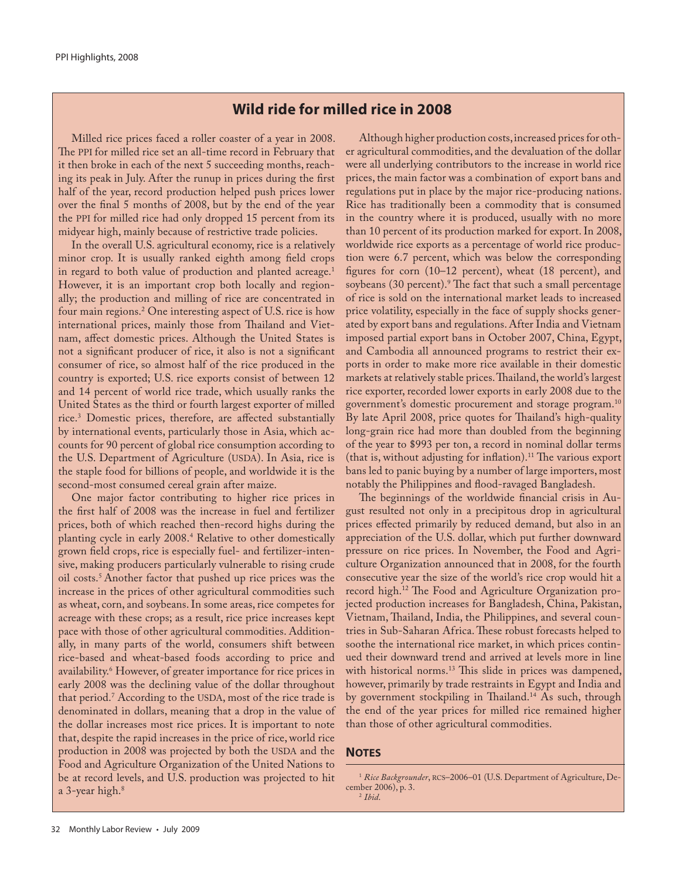## **Wild ride for milled rice in 2008**

Milled rice prices faced a roller coaster of a year in 2008. The PPI for milled rice set an all-time record in February that it then broke in each of the next 5 succeeding months, reaching its peak in July. After the runup in prices during the first half of the year, record production helped push prices lower over the final 5 months of 2008, but by the end of the year the PPI for milled rice had only dropped 15 percent from its midyear high, mainly because of restrictive trade policies.

In the overall U.S. agricultural economy, rice is a relatively minor crop. It is usually ranked eighth among field crops in regard to both value of production and planted acreage.<sup>1</sup> However, it is an important crop both locally and regionally; the production and milling of rice are concentrated in four main regions.2 One interesting aspect of U.S. rice is how international prices, mainly those from Thailand and Vietnam, affect domestic prices. Although the United States is not a significant producer of rice, it also is not a significant consumer of rice, so almost half of the rice produced in the country is exported; U.S. rice exports consist of between 12 and 14 percent of world rice trade, which usually ranks the United States as the third or fourth largest exporter of milled rice.3 Domestic prices, therefore, are affected substantially by international events, particularly those in Asia, which accounts for 90 percent of global rice consumption according to the U.S. Department of Agriculture (USDA). In Asia, rice is the staple food for billions of people, and worldwide it is the second-most consumed cereal grain after maize.

One major factor contributing to higher rice prices in the first half of 2008 was the increase in fuel and fertilizer prices, both of which reached then-record highs during the planting cycle in early 2008.4 Relative to other domestically grown field crops, rice is especially fuel- and fertilizer-intensive, making producers particularly vulnerable to rising crude oil costs.5 Another factor that pushed up rice prices was the increase in the prices of other agricultural commodities such as wheat, corn, and soybeans. In some areas, rice competes for acreage with these crops; as a result, rice price increases kept pace with those of other agricultural commodities. Additionally, in many parts of the world, consumers shift between rice-based and wheat-based foods according to price and availability.6 However, of greater importance for rice prices in early 2008 was the declining value of the dollar throughout that period.7 According to the USDA, most of the rice trade is denominated in dollars, meaning that a drop in the value of the dollar increases most rice prices. It is important to note that, despite the rapid increases in the price of rice, world rice production in 2008 was projected by both the USDA and the Food and Agriculture Organization of the United Nations to be at record levels, and U.S. production was projected to hit a 3-year high.<sup>8</sup>

Although higher production costs, increased prices for other agricultural commodities, and the devaluation of the dollar were all underlying contributors to the increase in world rice prices, the main factor was a combination of export bans and regulations put in place by the major rice-producing nations. Rice has traditionally been a commodity that is consumed in the country where it is produced, usually with no more than 10 percent of its production marked for export. In 2008, worldwide rice exports as a percentage of world rice production were 6.7 percent, which was below the corresponding figures for corn (10–12 percent), wheat (18 percent), and soybeans (30 percent).9 The fact that such a small percentage of rice is sold on the international market leads to increased price volatility, especially in the face of supply shocks generated by export bans and regulations. After India and Vietnam imposed partial export bans in October 2007, China, Egypt, and Cambodia all announced programs to restrict their exports in order to make more rice available in their domestic markets at relatively stable prices. Thailand, the world's largest rice exporter, recorded lower exports in early 2008 due to the government's domestic procurement and storage program.10 By late April 2008, price quotes for Thailand's high-quality long-grain rice had more than doubled from the beginning of the year to \$993 per ton, a record in nominal dollar terms (that is, without adjusting for inflation).<sup>11</sup> The various export bans led to panic buying by a number of large importers, most notably the Philippines and flood-ravaged Bangladesh.

The beginnings of the worldwide financial crisis in August resulted not only in a precipitous drop in agricultural prices effected primarily by reduced demand, but also in an appreciation of the U.S. dollar, which put further downward pressure on rice prices. In November, the Food and Agriculture Organization announced that in 2008, for the fourth consecutive year the size of the world's rice crop would hit a record high.12 The Food and Agriculture Organization projected production increases for Bangladesh, China, Pakistan, Vietnam, Thailand, India, the Philippines, and several countries in Sub-Saharan Africa. These robust forecasts helped to soothe the international rice market, in which prices continued their downward trend and arrived at levels more in line with historical norms.<sup>13</sup> This slide in prices was dampened, however, primarily by trade restraints in Egypt and India and by government stockpiling in Thailand.<sup>14</sup> As such, through the end of the year prices for milled rice remained higher than those of other agricultural commodities.

#### **NOTES**

<sup>&</sup>lt;sup>1</sup> Rice Backgrounder, RCS-2006-01 (U.S. Department of Agriculture, December 2006), p. 3. <sup>2</sup> *Ibid*.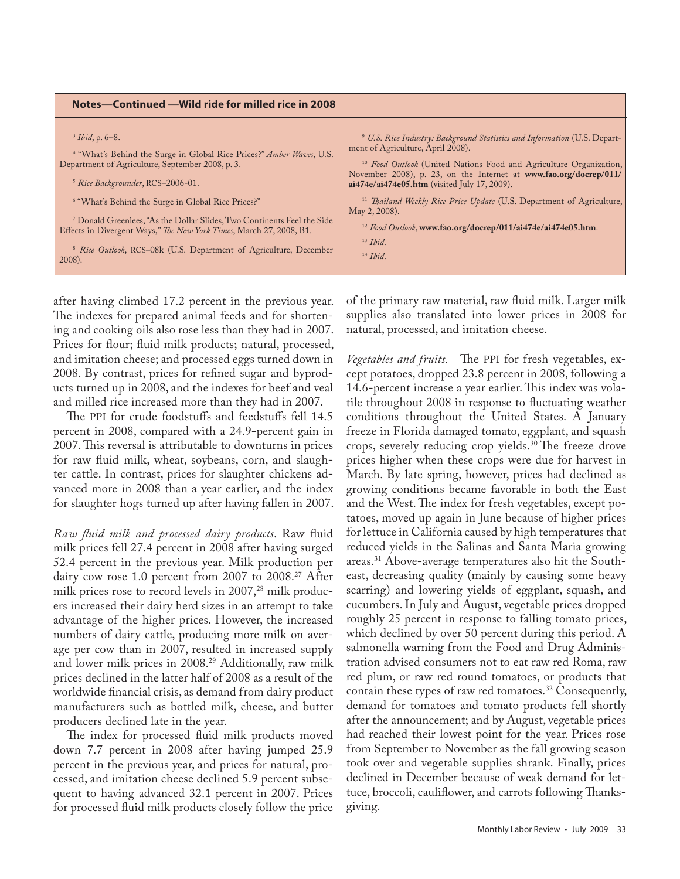#### **Notes—Continued —Wild ride for milled rice in 2008**

3  *Ibid*, p. 6–8.

4 "What's Behind the Surge in Global Rice Prices?" *Amber Waves*, U.S. Department of Agriculture, September 2008, p. 3.

<sup>5</sup> *Rice Backgrounder*, RCS–2006-01.

6 "What's Behind the Surge in Global Rice Prices?"

7 Donald Greenlees, "As the Dollar Slides, Two Continents Feel the Side Effects in Divergent Ways," *The New York Times*, March 27, 2008, B1.

<sup>8</sup> *Rice Outlook*, RCS–08k (U.S. Department of Agriculture, December 2008).

<sup>9</sup> *U.S. Rice Industry: Background Statistics and Information* (U.S. Department of Agriculture, April 2008).

<sup>10</sup> *Food Outlook* (United Nations Food and Agriculture Organization, November 2008), p. 23, on the Internet at **www.fao.org/docrep/011/ ai474e/ai474e05.htm** (visited July 17, 2009).

<sup>11</sup> *Thailand Weekly Rice Price Update* (U.S. Department of Agriculture, May 2, 2008).

<sup>12</sup> *Food Outlook*, **www.fao.org/docrep/011/ai474e/ai474e05.htm**.

<sup>13</sup> *Ibid*.

<sup>14</sup> *Ibid*.

after having climbed 17.2 percent in the previous year. The indexes for prepared animal feeds and for shortening and cooking oils also rose less than they had in 2007. Prices for flour; fluid milk products; natural, processed, and imitation cheese; and processed eggs turned down in 2008. By contrast, prices for refined sugar and byproducts turned up in 2008, and the indexes for beef and veal and milled rice increased more than they had in 2007.

The PPI for crude foodstuffs and feedstuffs fell 14.5 percent in 2008, compared with a 24.9-percent gain in 2007. This reversal is attributable to downturns in prices for raw fluid milk, wheat, soybeans, corn, and slaughter cattle. In contrast, prices for slaughter chickens advanced more in 2008 than a year earlier, and the index for slaughter hogs turned up after having fallen in 2007.

*Raw fluid milk and processed dairy products*. Raw fluid milk prices fell 27.4 percent in 2008 after having surged 52.4 percent in the previous year. Milk production per dairy cow rose 1.0 percent from 2007 to 2008.27 After milk prices rose to record levels in 2007,<sup>28</sup> milk producers increased their dairy herd sizes in an attempt to take advantage of the higher prices. However, the increased numbers of dairy cattle, producing more milk on average per cow than in 2007, resulted in increased supply and lower milk prices in 2008.<sup>29</sup> Additionally, raw milk prices declined in the latter half of 2008 as a result of the worldwide financial crisis, as demand from dairy product manufacturers such as bottled milk, cheese, and butter producers declined late in the year.

The index for processed fluid milk products moved down 7.7 percent in 2008 after having jumped 25.9 percent in the previous year, and prices for natural, processed, and imitation cheese declined 5.9 percent subsequent to having advanced 32.1 percent in 2007. Prices for processed fluid milk products closely follow the price of the primary raw material, raw fluid milk. Larger milk supplies also translated into lower prices in 2008 for natural, processed, and imitation cheese.

*Vegetables and fruits.* The PPI for fresh vegetables, except potatoes, dropped 23.8 percent in 2008, following a 14.6-percent increase a year earlier. This index was volatile throughout 2008 in response to fluctuating weather conditions throughout the United States. A January freeze in Florida damaged tomato, eggplant, and squash crops, severely reducing crop yields.30 The freeze drove prices higher when these crops were due for harvest in March. By late spring, however, prices had declined as growing conditions became favorable in both the East and the West. The index for fresh vegetables, except potatoes, moved up again in June because of higher prices for lettuce in California caused by high temperatures that reduced yields in the Salinas and Santa Maria growing areas.31 Above-average temperatures also hit the Southeast, decreasing quality (mainly by causing some heavy scarring) and lowering yields of eggplant, squash, and cucumbers. In July and August, vegetable prices dropped roughly 25 percent in response to falling tomato prices, which declined by over 50 percent during this period. A salmonella warning from the Food and Drug Administration advised consumers not to eat raw red Roma, raw red plum, or raw red round tomatoes, or products that contain these types of raw red tomatoes.<sup>32</sup> Consequently, demand for tomatoes and tomato products fell shortly after the announcement; and by August, vegetable prices had reached their lowest point for the year. Prices rose from September to November as the fall growing season took over and vegetable supplies shrank. Finally, prices declined in December because of weak demand for lettuce, broccoli, cauliflower, and carrots following Thanksgiving.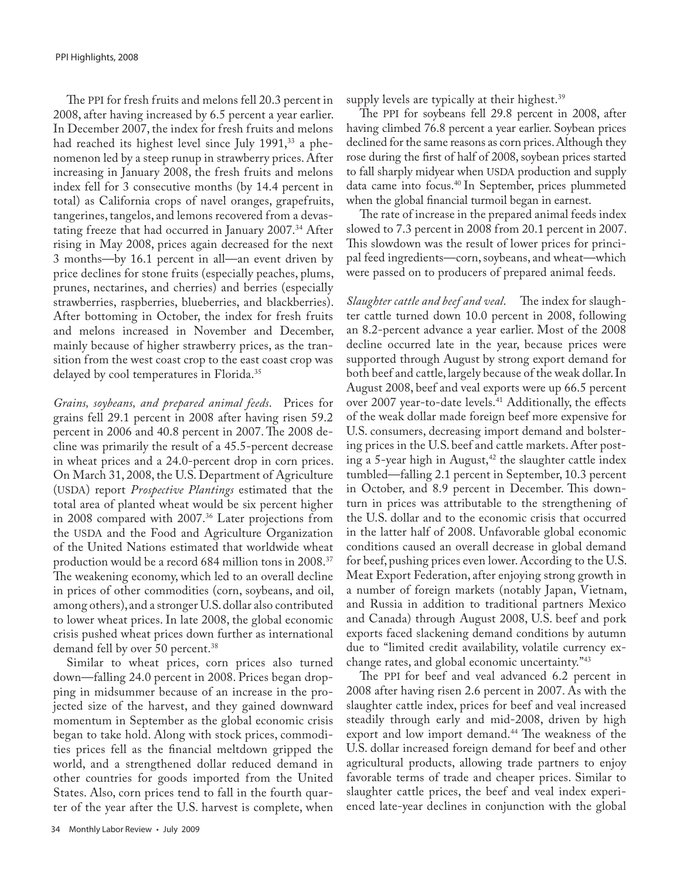The PPI for fresh fruits and melons fell 20.3 percent in 2008, after having increased by 6.5 percent a year earlier. In December 2007, the index for fresh fruits and melons had reached its highest level since July 1991,<sup>33</sup> a phenomenon led by a steep runup in strawberry prices. After increasing in January 2008, the fresh fruits and melons index fell for 3 consecutive months (by 14.4 percent in total) as California crops of navel oranges, grapefruits, tangerines, tangelos, and lemons recovered from a devastating freeze that had occurred in January 2007.34 After rising in May 2008, prices again decreased for the next 3 months—by 16.1 percent in all—an event driven by price declines for stone fruits (especially peaches, plums, prunes, nectarines, and cherries) and berries (especially strawberries, raspberries, blueberries, and blackberries). After bottoming in October, the index for fresh fruits and melons increased in November and December, mainly because of higher strawberry prices, as the transition from the west coast crop to the east coast crop was delayed by cool temperatures in Florida.<sup>35</sup>

*Grains, soybeans, and prepared animal feeds*. Prices for grains fell 29.1 percent in 2008 after having risen 59.2 percent in 2006 and 40.8 percent in 2007. The 2008 decline was primarily the result of a 45.5-percent decrease in wheat prices and a 24.0-percent drop in corn prices. On March 31, 2008, the U.S. Department of Agriculture (USDA) report *Prospective Plantings* estimated that the total area of planted wheat would be six percent higher in 2008 compared with 2007.36 Later projections from the USDA and the Food and Agriculture Organization of the United Nations estimated that worldwide wheat production would be a record 684 million tons in 2008.37 The weakening economy, which led to an overall decline in prices of other commodities (corn, soybeans, and oil, among others), and a stronger U.S. dollar also contributed to lower wheat prices. In late 2008, the global economic crisis pushed wheat prices down further as international demand fell by over 50 percent.<sup>38</sup>

Similar to wheat prices, corn prices also turned down—falling 24.0 percent in 2008. Prices began dropping in midsummer because of an increase in the projected size of the harvest, and they gained downward momentum in September as the global economic crisis began to take hold. Along with stock prices, commodities prices fell as the financial meltdown gripped the world, and a strengthened dollar reduced demand in other countries for goods imported from the United States. Also, corn prices tend to fall in the fourth quarter of the year after the U.S. harvest is complete, when

supply levels are typically at their highest.<sup>39</sup>

The PPI for soybeans fell 29.8 percent in 2008, after having climbed 76.8 percent a year earlier. Soybean prices declined for the same reasons as corn prices. Although they rose during the first of half of 2008, soybean prices started to fall sharply midyear when USDA production and supply data came into focus.<sup>40</sup> In September, prices plummeted when the global financial turmoil began in earnest.

The rate of increase in the prepared animal feeds index slowed to 7.3 percent in 2008 from 20.1 percent in 2007. This slowdown was the result of lower prices for principal feed ingredients—corn, soybeans, and wheat—which were passed on to producers of prepared animal feeds.

*Slaughter cattle and beef and veal*. The index for slaughter cattle turned down 10.0 percent in 2008, following an 8.2-percent advance a year earlier. Most of the 2008 decline occurred late in the year, because prices were supported through August by strong export demand for both beef and cattle, largely because of the weak dollar. In August 2008, beef and veal exports were up 66.5 percent over 2007 year-to-date levels.<sup>41</sup> Additionally, the effects of the weak dollar made foreign beef more expensive for U.S. consumers, decreasing import demand and bolstering prices in the U.S. beef and cattle markets. After posting a 5-year high in August, $42$  the slaughter cattle index tumbled—falling 2.1 percent in September, 10.3 percent in October, and 8.9 percent in December. This downturn in prices was attributable to the strengthening of the U.S. dollar and to the economic crisis that occurred in the latter half of 2008. Unfavorable global economic conditions caused an overall decrease in global demand for beef, pushing prices even lower. According to the U.S. Meat Export Federation, after enjoying strong growth in a number of foreign markets (notably Japan, Vietnam, and Russia in addition to traditional partners Mexico and Canada) through August 2008, U.S. beef and pork exports faced slackening demand conditions by autumn due to "limited credit availability, volatile currency exchange rates, and global economic uncertainty."43

The PPI for beef and veal advanced 6.2 percent in 2008 after having risen 2.6 percent in 2007. As with the slaughter cattle index, prices for beef and veal increased steadily through early and mid-2008, driven by high export and low import demand.<sup>44</sup> The weakness of the U.S. dollar increased foreign demand for beef and other agricultural products, allowing trade partners to enjoy favorable terms of trade and cheaper prices. Similar to slaughter cattle prices, the beef and veal index experienced late-year declines in conjunction with the global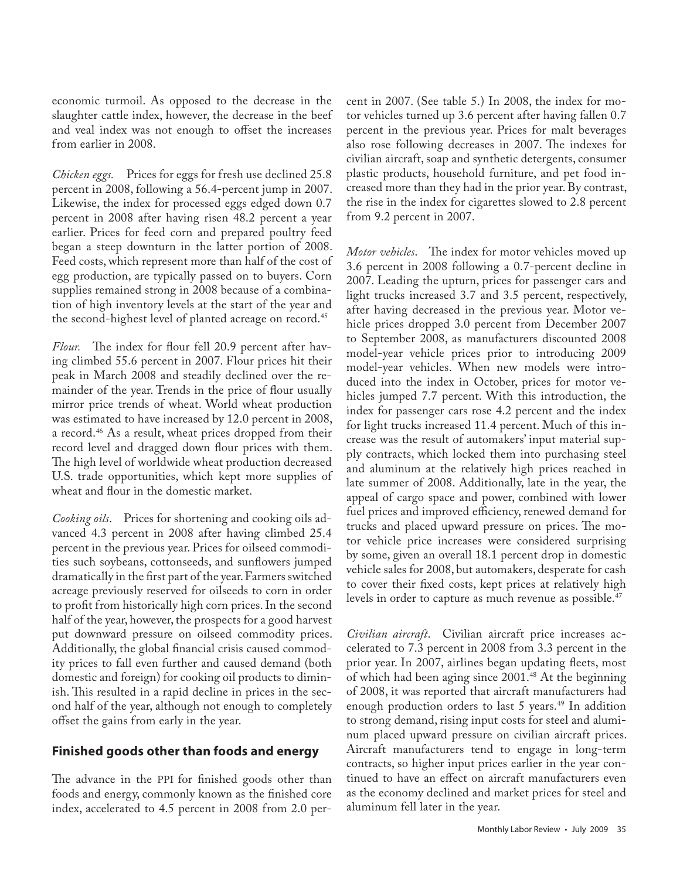economic turmoil. As opposed to the decrease in the slaughter cattle index, however, the decrease in the beef and veal index was not enough to offset the increases from earlier in 2008.

*Chicken eggs.* Prices for eggs for fresh use declined 25.8 percent in 2008, following a 56.4-percent jump in 2007. Likewise, the index for processed eggs edged down 0.7 percent in 2008 after having risen 48.2 percent a year earlier. Prices for feed corn and prepared poultry feed began a steep downturn in the latter portion of 2008. Feed costs, which represent more than half of the cost of egg production, are typically passed on to buyers. Corn supplies remained strong in 2008 because of a combination of high inventory levels at the start of the year and the second-highest level of planted acreage on record.<sup>45</sup>

*Flour.* The index for flour fell 20.9 percent after having climbed 55.6 percent in 2007. Flour prices hit their peak in March 2008 and steadily declined over the remainder of the year. Trends in the price of flour usually mirror price trends of wheat. World wheat production was estimated to have increased by 12.0 percent in 2008, a record.46 As a result, wheat prices dropped from their record level and dragged down flour prices with them. The high level of worldwide wheat production decreased U.S. trade opportunities, which kept more supplies of wheat and flour in the domestic market.

*Cooking oils*. Prices for shortening and cooking oils advanced 4.3 percent in 2008 after having climbed 25.4 percent in the previous year. Prices for oilseed commodities such soybeans, cottonseeds, and sunflowers jumped dramatically in the first part of the year. Farmers switched acreage previously reserved for oilseeds to corn in order to profit from historically high corn prices. In the second half of the year, however, the prospects for a good harvest put downward pressure on oilseed commodity prices. Additionally, the global financial crisis caused commodity prices to fall even further and caused demand (both domestic and foreign) for cooking oil products to diminish. This resulted in a rapid decline in prices in the second half of the year, although not enough to completely offset the gains from early in the year.

## **Finished goods other than foods and energy**

The advance in the PPI for finished goods other than foods and energy, commonly known as the finished core index, accelerated to 4.5 percent in 2008 from 2.0 percent in 2007. (See table 5.) In 2008, the index for motor vehicles turned up 3.6 percent after having fallen 0.7 percent in the previous year. Prices for malt beverages also rose following decreases in 2007. The indexes for civilian aircraft, soap and synthetic detergents, consumer plastic products, household furniture, and pet food increased more than they had in the prior year. By contrast, the rise in the index for cigarettes slowed to 2.8 percent from 9.2 percent in 2007.

*Motor vehicles*. The index for motor vehicles moved up 3.6 percent in 2008 following a 0.7-percent decline in 2007. Leading the upturn, prices for passenger cars and light trucks increased 3.7 and 3.5 percent, respectively, after having decreased in the previous year. Motor vehicle prices dropped 3.0 percent from December 2007 to September 2008, as manufacturers discounted 2008 model-year vehicle prices prior to introducing 2009 model-year vehicles. When new models were introduced into the index in October, prices for motor vehicles jumped 7.7 percent. With this introduction, the index for passenger cars rose 4.2 percent and the index for light trucks increased 11.4 percent. Much of this increase was the result of automakers' input material supply contracts, which locked them into purchasing steel and aluminum at the relatively high prices reached in late summer of 2008. Additionally, late in the year, the appeal of cargo space and power, combined with lower fuel prices and improved efficiency, renewed demand for trucks and placed upward pressure on prices. The motor vehicle price increases were considered surprising by some, given an overall 18.1 percent drop in domestic vehicle sales for 2008, but automakers, desperate for cash to cover their fixed costs, kept prices at relatively high levels in order to capture as much revenue as possible.<sup>47</sup>

*Civilian aircraft*. Civilian aircraft price increases accelerated to 7.3 percent in 2008 from 3.3 percent in the prior year. In 2007, airlines began updating fleets, most of which had been aging since 2001.<sup>48</sup> At the beginning of 2008, it was reported that aircraft manufacturers had enough production orders to last 5 years.<sup>49</sup> In addition to strong demand, rising input costs for steel and aluminum placed upward pressure on civilian aircraft prices. Aircraft manufacturers tend to engage in long-term contracts, so higher input prices earlier in the year continued to have an effect on aircraft manufacturers even as the economy declined and market prices for steel and aluminum fell later in the year.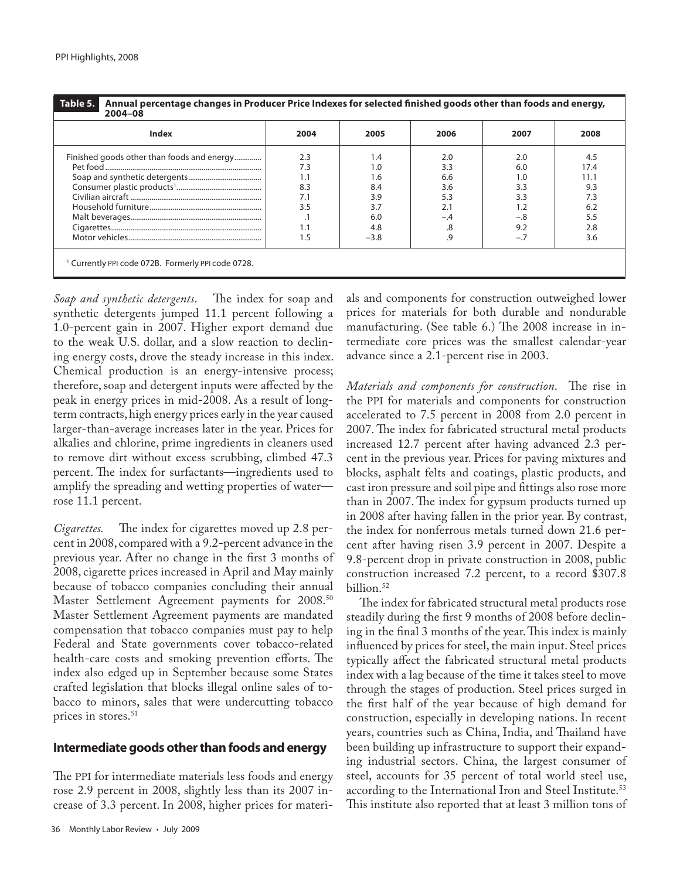| Index                                      | 2004 | 2005   | 2006  | 2007  | 2008 |
|--------------------------------------------|------|--------|-------|-------|------|
| Finished goods other than foods and energy | 2.3  | 1.4    | 2.0   | 2.0   | 4.5  |
|                                            | 7.3  | 1.0    | 3.3   | 6.0   | 17.4 |
|                                            | 1.1  | 1.6    | 6.6   | 1.0   | 11.1 |
|                                            | 8.3  | 8.4    | 3.6   | 3.3   | 9.3  |
|                                            | 7.1  | 3.9    | 5.3   | 3.3   | 7.3  |
|                                            | 3.5  | 3.7    | 2.1   |       | 6.2  |
|                                            | . .  | 6.0    | $-.4$ | $-.8$ | 5.5  |
|                                            | 1.1  | 4.8    |       | 9.2   | 2.8  |
|                                            | . .5 | $-3.8$ | .9    | $-.7$ | 3.6  |

*Soap and synthetic detergents*. The index for soap and synthetic detergents jumped 11.1 percent following a 1.0-percent gain in 2007. Higher export demand due to the weak U.S. dollar, and a slow reaction to declining energy costs, drove the steady increase in this index. Chemical production is an energy-intensive process; therefore, soap and detergent inputs were affected by the peak in energy prices in mid-2008. As a result of longterm contracts, high energy prices early in the year caused larger-than-average increases later in the year. Prices for alkalies and chlorine, prime ingredients in cleaners used to remove dirt without excess scrubbing, climbed 47.3 percent. The index for surfactants—ingredients used to amplify the spreading and wetting properties of water rose 11.1 percent.

*Cigarettes.* The index for cigarettes moved up 2.8 percent in 2008, compared with a 9.2-percent advance in the previous year. After no change in the first 3 months of 2008, cigarette prices increased in April and May mainly because of tobacco companies concluding their annual Master Settlement Agreement payments for 2008.<sup>50</sup> Master Settlement Agreement payments are mandated compensation that tobacco companies must pay to help Federal and State governments cover tobacco-related health-care costs and smoking prevention efforts. The index also edged up in September because some States crafted legislation that blocks illegal online sales of tobacco to minors, sales that were undercutting tobacco prices in stores.<sup>51</sup>

## **Intermediate goods other than foods and energy**

The PPI for intermediate materials less foods and energy rose 2.9 percent in 2008, slightly less than its 2007 increase of 3.3 percent. In 2008, higher prices for materials and components for construction outweighed lower prices for materials for both durable and nondurable manufacturing. (See table 6.) The 2008 increase in intermediate core prices was the smallest calendar-year advance since a 2.1-percent rise in 2003.

*Materials and components for construction*. The rise in the PPI for materials and components for construction accelerated to 7.5 percent in 2008 from 2.0 percent in 2007. The index for fabricated structural metal products increased 12.7 percent after having advanced 2.3 percent in the previous year. Prices for paving mixtures and blocks, asphalt felts and coatings, plastic products, and cast iron pressure and soil pipe and fittings also rose more than in 2007. The index for gypsum products turned up in 2008 after having fallen in the prior year. By contrast, the index for nonferrous metals turned down 21.6 percent after having risen 3.9 percent in 2007. Despite a 9.8-percent drop in private construction in 2008, public construction increased 7.2 percent, to a record \$307.8 billion.52

The index for fabricated structural metal products rose steadily during the first 9 months of 2008 before declining in the final 3 months of the year. This index is mainly influenced by prices for steel, the main input. Steel prices typically affect the fabricated structural metal products index with a lag because of the time it takes steel to move through the stages of production. Steel prices surged in the first half of the year because of high demand for construction, especially in developing nations. In recent years, countries such as China, India, and Thailand have been building up infrastructure to support their expanding industrial sectors. China, the largest consumer of steel, accounts for 35 percent of total world steel use, according to the International Iron and Steel Institute.<sup>53</sup> This institute also reported that at least 3 million tons of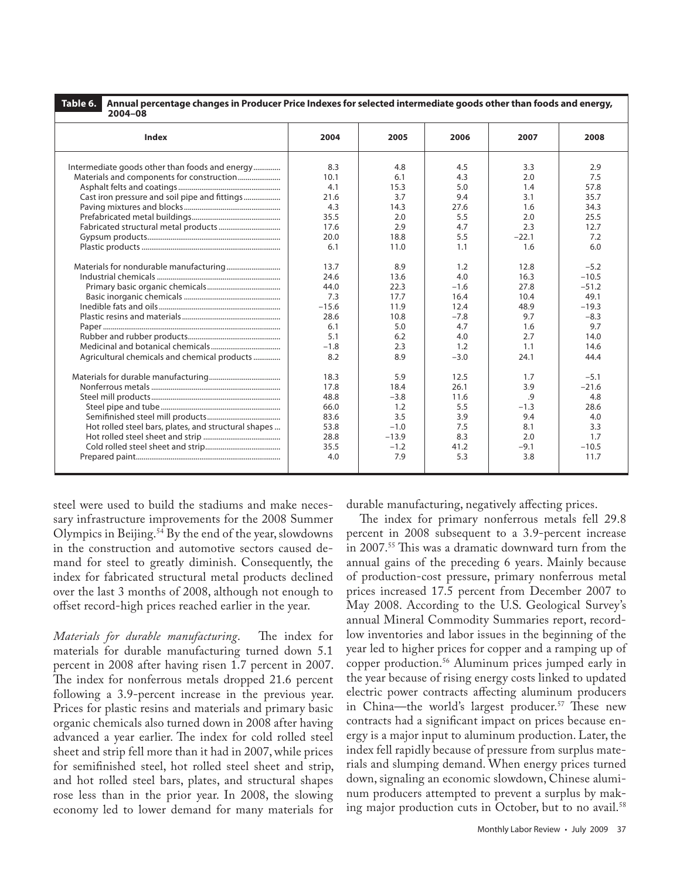**Table 6. Annual percentage changes in Producer Price Indexes for selected intermediate goods other than foods and energy, 2004–08**

| 2004-00                                              |         |         |        |         |         |
|------------------------------------------------------|---------|---------|--------|---------|---------|
| <b>Index</b>                                         | 2004    | 2005    | 2006   | 2007    | 2008    |
| Intermediate goods other than foods and energy       | 8.3     | 4.8     | 4.5    | 3.3     | 2.9     |
| Materials and components for construction            | 10.1    | 6.1     | 4.3    | 2.0     | 7.5     |
|                                                      | 4.1     | 15.3    | 5.0    | 1.4     | 57.8    |
| Cast iron pressure and soil pipe and fittings        | 21.6    | 3.7     | 9.4    | 3.1     | 35.7    |
|                                                      | 4.3     | 14.3    | 27.6   | 1.6     | 34.3    |
|                                                      | 35.5    | 2.0     | 5.5    | 2.0     | 25.5    |
|                                                      | 17.6    | 2.9     | 4.7    | 2.3     | 12.7    |
|                                                      | 20.0    | 18.8    | 5.5    | $-22.1$ | 7.2     |
|                                                      | 6.1     | 11.0    | 1.1    | 1.6     | 6.0     |
|                                                      | 13.7    | 8.9     | 1.2    | 12.8    | $-5.2$  |
|                                                      | 24.6    | 13.6    | 4.0    | 16.3    | $-10.5$ |
|                                                      | 44.0    | 22.3    | $-1.6$ | 27.8    | $-51.2$ |
|                                                      | 7.3     | 17.7    | 16.4   | 10.4    | 49.1    |
|                                                      | $-15.6$ | 11.9    | 12.4   | 48.9    | $-19.3$ |
|                                                      | 28.6    | 10.8    | $-7.8$ | 9.7     | $-8.3$  |
|                                                      | 6.1     | 5.0     | 4.7    | 1.6     | 9.7     |
|                                                      | 5.1     | 6.2     | 4.0    | 2.7     | 14.0    |
|                                                      | $-1.8$  | 2.3     | 1.2    | 1.1     | 14.6    |
| Agricultural chemicals and chemical products         | 8.2     | 8.9     | $-3.0$ | 24.1    | 44.4    |
|                                                      | 18.3    | 5.9     | 12.5   | 1.7     | $-5.1$  |
|                                                      | 17.8    | 18.4    | 26.1   | 3.9     | $-21.6$ |
|                                                      | 48.8    | $-3.8$  | 11.6   | .9      | 4.8     |
|                                                      | 66.0    | 1.2     | 5.5    | $-1.3$  | 28.6    |
|                                                      | 83.6    | 3.5     | 3.9    | 9.4     | 4.0     |
| Hot rolled steel bars, plates, and structural shapes | 53.8    | $-1.0$  | 7.5    | 8.1     | 3.3     |
|                                                      | 28.8    | $-13.9$ | 8.3    | 2.0     | 1.7     |
|                                                      | 35.5    | $-1.2$  | 41.2   | $-9.1$  | $-10.5$ |
|                                                      | 4.0     | 7.9     | 5.3    | 3.8     | 11.7    |

steel were used to build the stadiums and make necessary infrastructure improvements for the 2008 Summer Olympics in Beijing.54 By the end of the year, slowdowns in the construction and automotive sectors caused demand for steel to greatly diminish. Consequently, the index for fabricated structural metal products declined over the last 3 months of 2008, although not enough to offset record-high prices reached earlier in the year.

*Materials for durable manufacturing*. The index for materials for durable manufacturing turned down 5.1 percent in 2008 after having risen 1.7 percent in 2007. The index for nonferrous metals dropped 21.6 percent following a 3.9-percent increase in the previous year. Prices for plastic resins and materials and primary basic organic chemicals also turned down in 2008 after having advanced a year earlier. The index for cold rolled steel sheet and strip fell more than it had in 2007, while prices for semifinished steel, hot rolled steel sheet and strip, and hot rolled steel bars, plates, and structural shapes rose less than in the prior year. In 2008, the slowing economy led to lower demand for many materials for

durable manufacturing, negatively affecting prices.

The index for primary nonferrous metals fell 29.8 percent in 2008 subsequent to a 3.9-percent increase in 2007.55 This was a dramatic downward turn from the annual gains of the preceding 6 years. Mainly because of production-cost pressure, primary nonferrous metal prices increased 17.5 percent from December 2007 to May 2008. According to the U.S. Geological Survey's annual Mineral Commodity Summaries report, recordlow inventories and labor issues in the beginning of the year led to higher prices for copper and a ramping up of copper production.56 Aluminum prices jumped early in the year because of rising energy costs linked to updated electric power contracts affecting aluminum producers in China—the world's largest producer.<sup>57</sup> These new contracts had a significant impact on prices because energy is a major input to aluminum production. Later, the index fell rapidly because of pressure from surplus materials and slumping demand. When energy prices turned down, signaling an economic slowdown, Chinese aluminum producers attempted to prevent a surplus by making major production cuts in October, but to no avail.<sup>58</sup>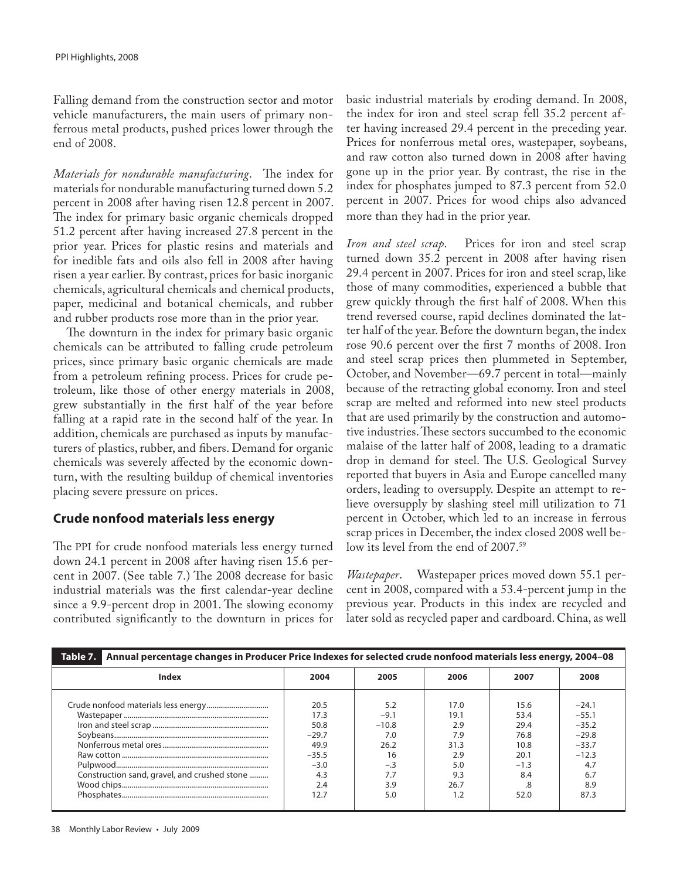Falling demand from the construction sector and motor vehicle manufacturers, the main users of primary nonferrous metal products, pushed prices lower through the end of 2008.

*Materials for nondurable manufacturing*. The index for materials for nondurable manufacturing turned down 5.2 percent in 2008 after having risen 12.8 percent in 2007. The index for primary basic organic chemicals dropped 51.2 percent after having increased 27.8 percent in the prior year. Prices for plastic resins and materials and for inedible fats and oils also fell in 2008 after having risen a year earlier. By contrast, prices for basic inorganic chemicals, agricultural chemicals and chemical products, paper, medicinal and botanical chemicals, and rubber and rubber products rose more than in the prior year.

The downturn in the index for primary basic organic chemicals can be attributed to falling crude petroleum prices, since primary basic organic chemicals are made from a petroleum refining process. Prices for crude petroleum, like those of other energy materials in 2008, grew substantially in the first half of the year before falling at a rapid rate in the second half of the year. In addition, chemicals are purchased as inputs by manufacturers of plastics, rubber, and fibers. Demand for organic chemicals was severely affected by the economic downturn, with the resulting buildup of chemical inventories placing severe pressure on prices.

## **Crude nonfood materials less energy**

The PPI for crude nonfood materials less energy turned down 24.1 percent in 2008 after having risen 15.6 percent in 2007. (See table 7.) The 2008 decrease for basic industrial materials was the first calendar-year decline since a 9.9-percent drop in 2001. The slowing economy contributed significantly to the downturn in prices for basic industrial materials by eroding demand. In 2008, the index for iron and steel scrap fell 35.2 percent after having increased 29.4 percent in the preceding year. Prices for nonferrous metal ores, wastepaper, soybeans, and raw cotton also turned down in 2008 after having gone up in the prior year. By contrast, the rise in the index for phosphates jumped to 87.3 percent from 52.0 percent in 2007. Prices for wood chips also advanced more than they had in the prior year.

*Iron and steel scrap*. Prices for iron and steel scrap turned down 35.2 percent in 2008 after having risen 29.4 percent in 2007. Prices for iron and steel scrap, like those of many commodities, experienced a bubble that grew quickly through the first half of 2008. When this trend reversed course, rapid declines dominated the latter half of the year. Before the downturn began, the index rose 90.6 percent over the first 7 months of 2008. Iron and steel scrap prices then plummeted in September, October, and November—69.7 percent in total—mainly because of the retracting global economy. Iron and steel scrap are melted and reformed into new steel products that are used primarily by the construction and automotive industries. These sectors succumbed to the economic malaise of the latter half of 2008, leading to a dramatic drop in demand for steel. The U.S. Geological Survey reported that buyers in Asia and Europe cancelled many orders, leading to oversupply. Despite an attempt to relieve oversupply by slashing steel mill utilization to 71 percent in October, which led to an increase in ferrous scrap prices in December, the index closed 2008 well below its level from the end of 2007.<sup>59</sup>

*Wastepaper*. Wastepaper prices moved down 55.1 percent in 2008, compared with a 53.4-percent jump in the previous year. Products in this index are recycled and later sold as recycled paper and cardboard. China, as well

| Table 7.<br>Annual percentage changes in Producer Price Indexes for selected crude nonfood materials less energy, 2004-08 |         |         |      |        |         |
|---------------------------------------------------------------------------------------------------------------------------|---------|---------|------|--------|---------|
| Index                                                                                                                     | 2004    | 2005    | 2006 | 2007   | 2008    |
|                                                                                                                           | 20.5    | 5.2     | 17.0 | 15.6   | $-24.1$ |
|                                                                                                                           | 17.3    | $-9.1$  | 19.1 | 53.4   | $-55.1$ |
|                                                                                                                           | 50.8    | $-10.8$ | 2.9  | 29.4   | $-35.2$ |
|                                                                                                                           | $-29.7$ | 7.0     | 7.9  | 76.8   | $-29.8$ |
|                                                                                                                           | 49.9    | 26.2    | 31.3 | 10.8   | $-33.7$ |
|                                                                                                                           | $-35.5$ | 16      | 2.9  | 20.1   | $-12.3$ |
|                                                                                                                           | $-3.0$  | $-.3$   | 5.0  | $-1.3$ | 4.7     |
| Construction sand, gravel, and crushed stone                                                                              | 4.3     |         | 9.3  | 8.4    | 6.7     |
|                                                                                                                           | 2.4     | 3.9     | 26.7 | .8     | 8.9     |
|                                                                                                                           | 12.7    | 5.0     |      | 52.0   | 87.3    |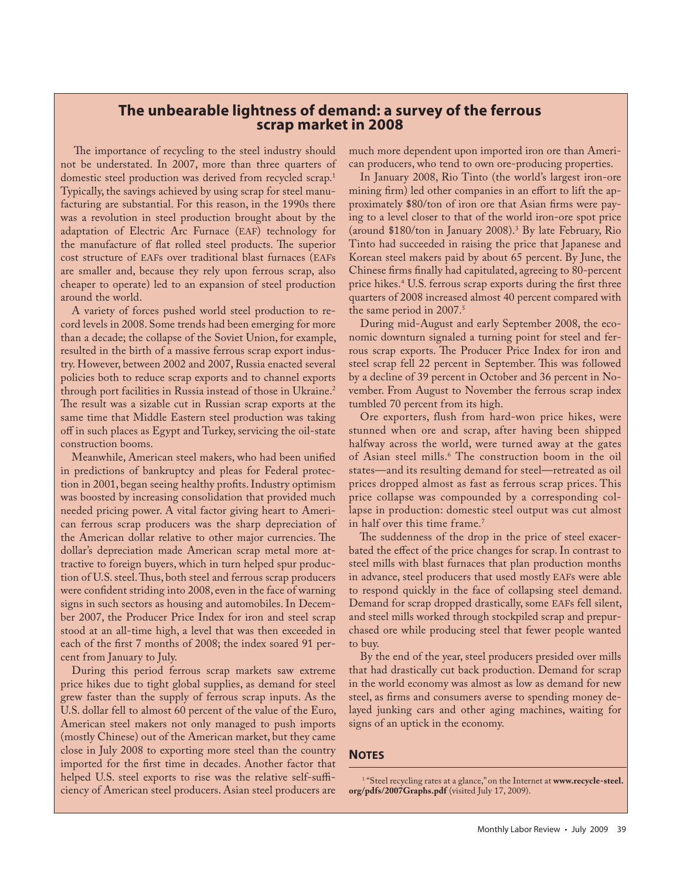# **The unbearable lightness of demand: a survey of the ferrous scrap market in 2008**

The importance of recycling to the steel industry should not be understated. In 2007, more than three quarters of domestic steel production was derived from recycled scrap.<sup>1</sup> Typically, the savings achieved by using scrap for steel manufacturing are substantial. For this reason, in the 1990s there was a revolution in steel production brought about by the adaptation of Electric Arc Furnace (EAF) technology for the manufacture of flat rolled steel products. The superior cost structure of EAFs over traditional blast furnaces (EAFs are smaller and, because they rely upon ferrous scrap, also cheaper to operate) led to an expansion of steel production around the world.

A variety of forces pushed world steel production to record levels in 2008. Some trends had been emerging for more than a decade; the collapse of the Soviet Union, for example, resulted in the birth of a massive ferrous scrap export industry. However, between 2002 and 2007, Russia enacted several policies both to reduce scrap exports and to channel exports through port facilities in Russia instead of those in Ukraine.<sup>2</sup> The result was a sizable cut in Russian scrap exports at the same time that Middle Eastern steel production was taking off in such places as Egypt and Turkey, servicing the oil-state construction booms.

Meanwhile, American steel makers, who had been unified in predictions of bankruptcy and pleas for Federal protection in 2001, began seeing healthy profits. Industry optimism was boosted by increasing consolidation that provided much needed pricing power. A vital factor giving heart to American ferrous scrap producers was the sharp depreciation of the American dollar relative to other major currencies. The dollar's depreciation made American scrap metal more attractive to foreign buyers, which in turn helped spur production of U.S. steel. Thus, both steel and ferrous scrap producers were confident striding into 2008, even in the face of warning signs in such sectors as housing and automobiles. In December 2007, the Producer Price Index for iron and steel scrap stood at an all-time high, a level that was then exceeded in each of the first 7 months of 2008; the index soared 91 percent from January to July.

During this period ferrous scrap markets saw extreme price hikes due to tight global supplies, as demand for steel grew faster than the supply of ferrous scrap inputs. As the U.S. dollar fell to almost 60 percent of the value of the Euro, American steel makers not only managed to push imports (mostly Chinese) out of the American market, but they came close in July 2008 to exporting more steel than the country imported for the first time in decades. Another factor that helped U.S. steel exports to rise was the relative self-sufficiency of American steel producers. Asian steel producers are

much more dependent upon imported iron ore than American producers, who tend to own ore-producing properties.

In January 2008, Rio Tinto (the world's largest iron-ore mining firm) led other companies in an effort to lift the approximately \$80/ton of iron ore that Asian firms were paying to a level closer to that of the world iron-ore spot price (around \$180/ton in January 2008).3 By late February, Rio Tinto had succeeded in raising the price that Japanese and Korean steel makers paid by about 65 percent. By June, the Chinese firms finally had capitulated, agreeing to 80-percent price hikes.4 U.S. ferrous scrap exports during the first three quarters of 2008 increased almost 40 percent compared with the same period in 2007.<sup>5</sup>

During mid-August and early September 2008, the economic downturn signaled a turning point for steel and ferrous scrap exports. The Producer Price Index for iron and steel scrap fell 22 percent in September. This was followed by a decline of 39 percent in October and 36 percent in November. From August to November the ferrous scrap index tumbled 70 percent from its high.

Ore exporters, flush from hard-won price hikes, were stunned when ore and scrap, after having been shipped halfway across the world, were turned away at the gates of Asian steel mills.6 The construction boom in the oil states—and its resulting demand for steel—retreated as oil prices dropped almost as fast as ferrous scrap prices. This price collapse was compounded by a corresponding collapse in production: domestic steel output was cut almost in half over this time frame.<sup>7</sup>

The suddenness of the drop in the price of steel exacerbated the effect of the price changes for scrap. In contrast to steel mills with blast furnaces that plan production months in advance, steel producers that used mostly EAFs were able to respond quickly in the face of collapsing steel demand. Demand for scrap dropped drastically, some EAFs fell silent, and steel mills worked through stockpiled scrap and prepurchased ore while producing steel that fewer people wanted to buy.

By the end of the year, steel producers presided over mills that had drastically cut back production. Demand for scrap in the world economy was almost as low as demand for new steel, as firms and consumers averse to spending money delayed junking cars and other aging machines, waiting for signs of an uptick in the economy.

#### **NOTES**

<sup>1</sup> "Steel recycling rates at a glance," on the Internet at **www.recycle-steel. org/pdfs/2007Graphs.pdf** (visited July 17, 2009).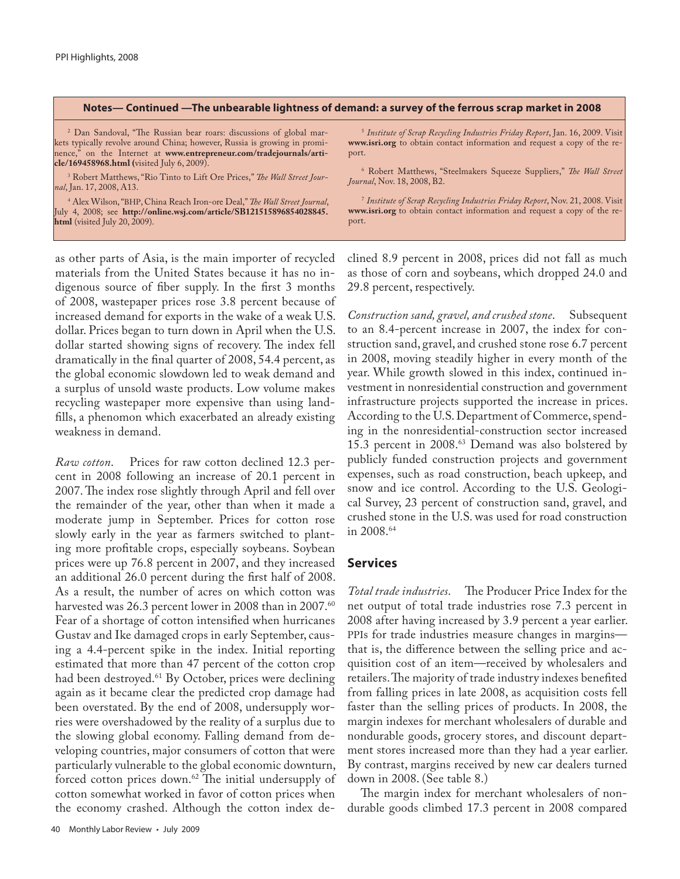#### **Notes— Continued —The unbearable lightness of demand: a survey of the ferrous scrap market in 2008**

2 Dan Sandoval, "The Russian bear roars: discussions of global markets typically revolve around China; however, Russia is growing in prominence," on the Internet at **www.entrepreneur.com/tradejournals/article/169458968.html (**visited July 6, 2009).

3 Robert Matthews, "Rio Tinto to Lift Ore Prices," *The Wall Street Journal*, Jan. 17, 2008, A13.

4 Alex Wilson, "BHP, China Reach Iron-ore Deal," *The Wall Street Journal*, July 4, 2008; see **http://online.wsj.com/article/SB121515896854028845. html** (visited July 20, 2009).

as other parts of Asia, is the main importer of recycled materials from the United States because it has no indigenous source of fiber supply. In the first 3 months of 2008, wastepaper prices rose 3.8 percent because of increased demand for exports in the wake of a weak U.S. dollar. Prices began to turn down in April when the U.S. dollar started showing signs of recovery. The index fell dramatically in the final quarter of 2008, 54.4 percent, as the global economic slowdown led to weak demand and a surplus of unsold waste products. Low volume makes recycling wastepaper more expensive than using landfills, a phenomon which exacerbated an already existing weakness in demand.

*Raw cotton*. Prices for raw cotton declined 12.3 percent in 2008 following an increase of 20.1 percent in 2007. The index rose slightly through April and fell over the remainder of the year, other than when it made a moderate jump in September. Prices for cotton rose slowly early in the year as farmers switched to planting more profitable crops, especially soybeans. Soybean prices were up 76.8 percent in 2007, and they increased an additional 26.0 percent during the first half of 2008. As a result, the number of acres on which cotton was harvested was 26.3 percent lower in 2008 than in 2007.<sup>60</sup> Fear of a shortage of cotton intensified when hurricanes Gustav and Ike damaged crops in early September, causing a 4.4-percent spike in the index. Initial reporting estimated that more than 47 percent of the cotton crop had been destroyed.<sup>61</sup> By October, prices were declining again as it became clear the predicted crop damage had been overstated. By the end of 2008, undersupply worries were overshadowed by the reality of a surplus due to the slowing global economy. Falling demand from developing countries, major consumers of cotton that were particularly vulnerable to the global economic downturn, forced cotton prices down.<sup>62</sup> The initial undersupply of cotton somewhat worked in favor of cotton prices when the economy crashed. Although the cotton index de-

<sup>5</sup> *Institute of Scrap Recycling Industries Friday Report*, Jan. 16, 2009. Visit **www.isri.org** to obtain contact information and request a copy of the report.

6 Robert Matthews, "Steelmakers Squeeze Suppliers," *The Wall Street Journal*, Nov. 18, 2008, B2.

<sup>7</sup> *Institute of Scrap Recycling Industries Friday Report*, Nov. 21, 2008. Visit **www.isri.org** to obtain contact information and request a copy of the report.

clined 8.9 percent in 2008, prices did not fall as much as those of corn and soybeans, which dropped 24.0 and 29.8 percent, respectively.

*Construction sand, gravel, and crushed stone*. Subsequent to an 8.4-percent increase in 2007, the index for construction sand, gravel, and crushed stone rose 6.7 percent in 2008, moving steadily higher in every month of the year. While growth slowed in this index, continued investment in nonresidential construction and government infrastructure projects supported the increase in prices. According to the U.S. Department of Commerce, spending in the nonresidential-construction sector increased 15.3 percent in 2008.63 Demand was also bolstered by publicly funded construction projects and government expenses, such as road construction, beach upkeep, and snow and ice control. According to the U.S. Geological Survey, 23 percent of construction sand, gravel, and crushed stone in the U.S. was used for road construction in 2008.64

#### **Services**

*Total trade industries*. The Producer Price Index for the net output of total trade industries rose 7.3 percent in 2008 after having increased by 3.9 percent a year earlier. PPIs for trade industries measure changes in margins that is, the difference between the selling price and acquisition cost of an item—received by wholesalers and retailers. The majority of trade industry indexes benefited from falling prices in late 2008, as acquisition costs fell faster than the selling prices of products. In 2008, the margin indexes for merchant wholesalers of durable and nondurable goods, grocery stores, and discount department stores increased more than they had a year earlier. By contrast, margins received by new car dealers turned down in 2008. (See table 8.)

The margin index for merchant wholesalers of nondurable goods climbed 17.3 percent in 2008 compared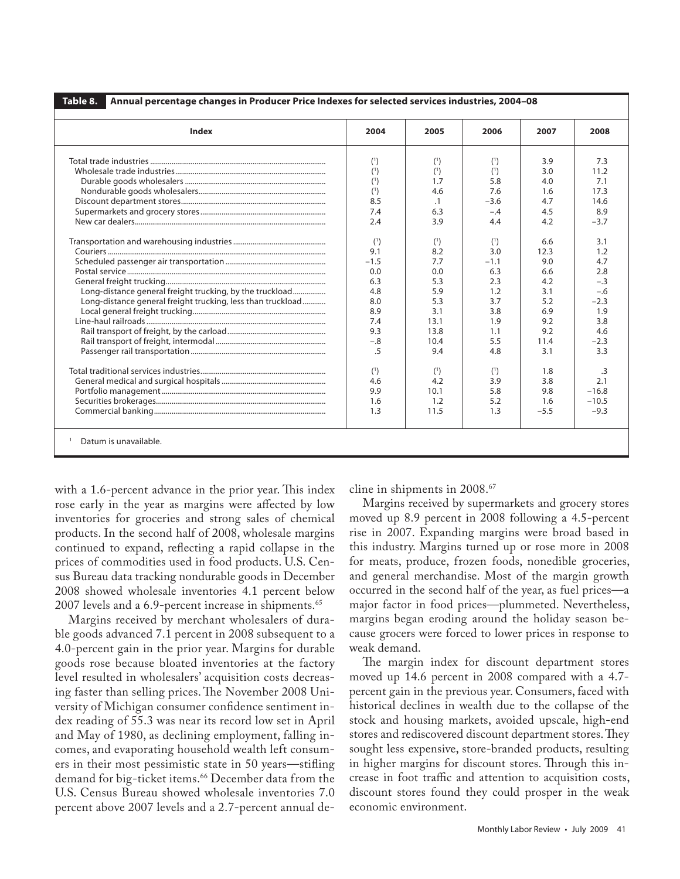| <b>Index</b>                                                | 2004   | 2005      | 2006   | 2007   | 2008      |
|-------------------------------------------------------------|--------|-----------|--------|--------|-----------|
|                                                             | (1)    | (1)       | (1)    | 3.9    | 7.3       |
|                                                             | (1)    | (1)       | (1)    | 3.0    | 11.2      |
|                                                             | (1)    | 1.7       | 5.8    | 4.0    | 7.1       |
|                                                             | (1)    | 4.6       | 7.6    | 1.6    | 17.3      |
|                                                             | 8.5    | $\cdot$ 1 | $-3.6$ | 4.7    | 14.6      |
|                                                             | 7.4    | 6.3       | $-.4$  | 4.5    | 8.9       |
|                                                             | 2.4    | 3.9       | 4.4    | 4.2    | $-3.7$    |
|                                                             | (1)    | (1)       | (1)    | 6.6    | 3.1       |
|                                                             | 9.1    | 8.2       | 3.0    | 12.3   | 1.2       |
|                                                             | $-1.5$ | 7.7       | $-1.1$ | 9.0    | 4.7       |
|                                                             | 0.0    | 0.0       | 6.3    | 6.6    | 2.8       |
|                                                             | 6.3    | 5.3       | 2.3    | 4.2    | $-.3$     |
| Long-distance general freight trucking, by the truckload    | 4.8    | 5.9       | 1.2    | 3.1    | $-.6$     |
| Long-distance general freight trucking, less than truckload | 8.0    | 5.3       | 3.7    | 5.2    | $-2.3$    |
|                                                             | 8.9    | 3.1       | 3.8    | 6.9    | 1.9       |
|                                                             | 7.4    | 13.1      | 1.9    | 9.2    | 3.8       |
|                                                             | 9.3    | 13.8      | 1.1    | 9.2    | 4.6       |
|                                                             | $-.8$  | 10.4      | 5.5    | 11.4   | $-2.3$    |
|                                                             | .5     | 9.4       | 4.8    | 3.1    | 3.3       |
|                                                             | (1)    | (1)       | (1)    | 1.8    | $\cdot$ 3 |
|                                                             | 4.6    | 4.2       | 3.9    | 3.8    | 2.1       |
|                                                             | 9.9    | 10.1      | 5.8    | 9.8    | $-16.8$   |
|                                                             | 1.6    | 1.2       | 5.2    | 1.6    | $-10.5$   |
|                                                             | 1.3    | 11.5      | 1.3    | $-5.5$ | $-9.3$    |

with a 1.6-percent advance in the prior year. This index rose early in the year as margins were affected by low inventories for groceries and strong sales of chemical products. In the second half of 2008, wholesale margins continued to expand, reflecting a rapid collapse in the prices of commodities used in food products. U.S. Census Bureau data tracking nondurable goods in December 2008 showed wholesale inventories 4.1 percent below 2007 levels and a 6.9-percent increase in shipments.<sup>65</sup>

Margins received by merchant wholesalers of durable goods advanced 7.1 percent in 2008 subsequent to a 4.0-percent gain in the prior year. Margins for durable goods rose because bloated inventories at the factory level resulted in wholesalers' acquisition costs decreasing faster than selling prices. The November 2008 University of Michigan consumer confidence sentiment index reading of 55.3 was near its record low set in April and May of 1980, as declining employment, falling incomes, and evaporating household wealth left consumers in their most pessimistic state in 50 years—stifling demand for big-ticket items.<sup>66</sup> December data from the U.S. Census Bureau showed wholesale inventories 7.0 percent above 2007 levels and a 2.7-percent annual decline in shipments in 2008.<sup>67</sup>

Margins received by supermarkets and grocery stores moved up 8.9 percent in 2008 following a 4.5-percent rise in 2007. Expanding margins were broad based in this industry. Margins turned up or rose more in 2008 for meats, produce, frozen foods, nonedible groceries, and general merchandise. Most of the margin growth occurred in the second half of the year, as fuel prices—a major factor in food prices—plummeted. Nevertheless, margins began eroding around the holiday season because grocers were forced to lower prices in response to weak demand.

The margin index for discount department stores moved up 14.6 percent in 2008 compared with a 4.7 percent gain in the previous year. Consumers, faced with historical declines in wealth due to the collapse of the stock and housing markets, avoided upscale, high-end stores and rediscovered discount department stores. They sought less expensive, store-branded products, resulting in higher margins for discount stores. Through this increase in foot traffic and attention to acquisition costs, discount stores found they could prosper in the weak economic environment.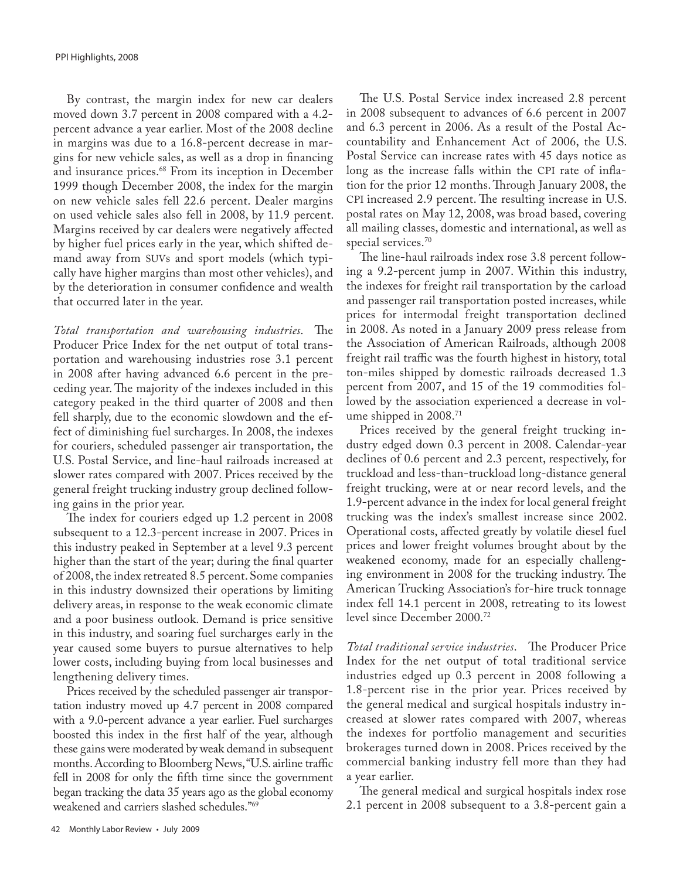By contrast, the margin index for new car dealers moved down 3.7 percent in 2008 compared with a 4.2 percent advance a year earlier. Most of the 2008 decline in margins was due to a 16.8-percent decrease in margins for new vehicle sales, as well as a drop in financing and insurance prices.<sup>68</sup> From its inception in December 1999 though December 2008, the index for the margin on new vehicle sales fell 22.6 percent. Dealer margins on used vehicle sales also fell in 2008, by 11.9 percent. Margins received by car dealers were negatively affected by higher fuel prices early in the year, which shifted demand away from SUVs and sport models (which typically have higher margins than most other vehicles), and by the deterioration in consumer confidence and wealth that occurred later in the year.

*Total transportation and warehousing industries*. The Producer Price Index for the net output of total transportation and warehousing industries rose 3.1 percent in 2008 after having advanced 6.6 percent in the preceding year. The majority of the indexes included in this category peaked in the third quarter of 2008 and then fell sharply, due to the economic slowdown and the effect of diminishing fuel surcharges. In 2008, the indexes for couriers, scheduled passenger air transportation, the U.S. Postal Service, and line-haul railroads increased at slower rates compared with 2007. Prices received by the general freight trucking industry group declined following gains in the prior year.

The index for couriers edged up 1.2 percent in 2008 subsequent to a 12.3-percent increase in 2007. Prices in this industry peaked in September at a level 9.3 percent higher than the start of the year; during the final quarter of 2008, the index retreated 8.5 percent. Some companies in this industry downsized their operations by limiting delivery areas, in response to the weak economic climate and a poor business outlook. Demand is price sensitive in this industry, and soaring fuel surcharges early in the year caused some buyers to pursue alternatives to help lower costs, including buying from local businesses and lengthening delivery times.

Prices received by the scheduled passenger air transportation industry moved up 4.7 percent in 2008 compared with a 9.0-percent advance a year earlier. Fuel surcharges boosted this index in the first half of the year, although these gains were moderated by weak demand in subsequent months. According to Bloomberg News, "U.S. airline traffic fell in 2008 for only the fifth time since the government began tracking the data 35 years ago as the global economy weakened and carriers slashed schedules."69

The U.S. Postal Service index increased 2.8 percent in 2008 subsequent to advances of 6.6 percent in 2007 and 6.3 percent in 2006. As a result of the Postal Accountability and Enhancement Act of 2006, the U.S. Postal Service can increase rates with 45 days notice as long as the increase falls within the CPI rate of inflation for the prior 12 months. Through January 2008, the CPI increased 2.9 percent. The resulting increase in U.S. postal rates on May 12, 2008, was broad based, covering all mailing classes, domestic and international, as well as special services.<sup>70</sup>

The line-haul railroads index rose 3.8 percent following a 9.2-percent jump in 2007. Within this industry, the indexes for freight rail transportation by the carload and passenger rail transportation posted increases, while prices for intermodal freight transportation declined in 2008. As noted in a January 2009 press release from the Association of American Railroads, although 2008 freight rail traffic was the fourth highest in history, total ton-miles shipped by domestic railroads decreased 1.3 percent from 2007, and 15 of the 19 commodities followed by the association experienced a decrease in volume shipped in 2008.<sup>71</sup>

Prices received by the general freight trucking industry edged down 0.3 percent in 2008. Calendar-year declines of 0.6 percent and 2.3 percent, respectively, for truckload and less-than-truckload long-distance general freight trucking, were at or near record levels, and the 1.9-percent advance in the index for local general freight trucking was the index's smallest increase since 2002. Operational costs, affected greatly by volatile diesel fuel prices and lower freight volumes brought about by the weakened economy, made for an especially challenging environment in 2008 for the trucking industry. The American Trucking Association's for-hire truck tonnage index fell 14.1 percent in 2008, retreating to its lowest level since December 2000.72

*Total traditional service industries*. The Producer Price Index for the net output of total traditional service industries edged up 0.3 percent in 2008 following a 1.8-percent rise in the prior year. Prices received by the general medical and surgical hospitals industry increased at slower rates compared with 2007, whereas the indexes for portfolio management and securities brokerages turned down in 2008. Prices received by the commercial banking industry fell more than they had a year earlier.

The general medical and surgical hospitals index rose 2.1 percent in 2008 subsequent to a 3.8-percent gain a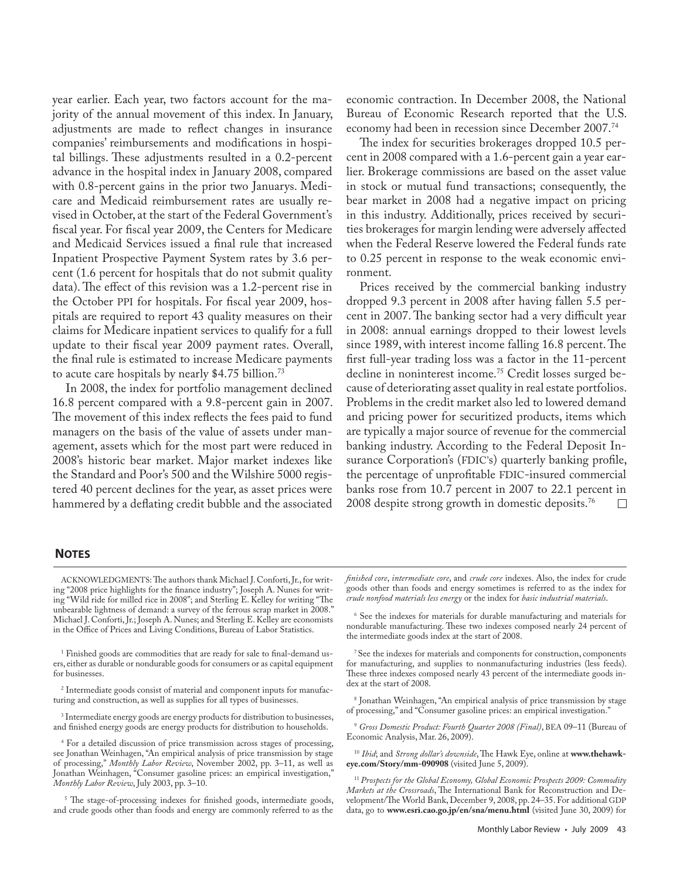year earlier. Each year, two factors account for the majority of the annual movement of this index. In January, adjustments are made to reflect changes in insurance companies' reimbursements and modifications in hospital billings. These adjustments resulted in a 0.2-percent advance in the hospital index in January 2008, compared with 0.8-percent gains in the prior two Januarys. Medicare and Medicaid reimbursement rates are usually revised in October, at the start of the Federal Government's fiscal year. For fiscal year 2009, the Centers for Medicare and Medicaid Services issued a final rule that increased Inpatient Prospective Payment System rates by 3.6 percent (1.6 percent for hospitals that do not submit quality data). The effect of this revision was a 1.2-percent rise in the October PPI for hospitals. For fiscal year 2009, hospitals are required to report 43 quality measures on their claims for Medicare inpatient services to qualify for a full update to their fiscal year 2009 payment rates. Overall, the final rule is estimated to increase Medicare payments to acute care hospitals by nearly \$4.75 billion.<sup>73</sup>

In 2008, the index for portfolio management declined 16.8 percent compared with a 9.8-percent gain in 2007. The movement of this index reflects the fees paid to fund managers on the basis of the value of assets under management, assets which for the most part were reduced in 2008's historic bear market. Major market indexes like the Standard and Poor's 500 and the Wilshire 5000 registered 40 percent declines for the year, as asset prices were hammered by a deflating credit bubble and the associated economic contraction. In December 2008, the National Bureau of Economic Research reported that the U.S. economy had been in recession since December 2007.<sup>74</sup>

The index for securities brokerages dropped 10.5 percent in 2008 compared with a 1.6-percent gain a year earlier. Brokerage commissions are based on the asset value in stock or mutual fund transactions; consequently, the bear market in 2008 had a negative impact on pricing in this industry. Additionally, prices received by securities brokerages for margin lending were adversely affected when the Federal Reserve lowered the Federal funds rate to 0.25 percent in response to the weak economic environment.

Prices received by the commercial banking industry dropped 9.3 percent in 2008 after having fallen 5.5 percent in 2007. The banking sector had a very difficult year in 2008: annual earnings dropped to their lowest levels since 1989, with interest income falling 16.8 percent. The first full-year trading loss was a factor in the 11-percent decline in noninterest income.75 Credit losses surged because of deteriorating asset quality in real estate portfolios. Problems in the credit market also led to lowered demand and pricing power for securitized products, items which are typically a major source of revenue for the commercial banking industry. According to the Federal Deposit Insurance Corporation's (FDIC's) quarterly banking profile, the percentage of unprofitable FDIC-insured commercial banks rose from 10.7 percent in 2007 to 22.1 percent in 2008 despite strong growth in domestic deposits.76

#### **NOTES**

ACKNOWLEDGMENTS: The authors thank Michael J. Conforti, Jr., for writing "2008 price highlights for the finance industry"; Joseph A. Nunes for writing "Wild ride for milled rice in 2008"; and Sterling E. Kelley for writing "The unbearable lightness of demand: a survey of the ferrous scrap market in 2008." Michael J. Conforti, Jr.; Joseph A. Nunes; and Sterling E. Kelley are economists in the Office of Prices and Living Conditions, Bureau of Labor Statistics.

1 Finished goods are commodities that are ready for sale to final-demand users, either as durable or nondurable goods for consumers or as capital equipment for businesses.

2 Intermediate goods consist of material and component inputs for manufacturing and construction, as well as supplies for all types of businesses.

3 Intermediate energy goods are energy products for distribution to businesses, and finished energy goods are energy products for distribution to households.

4 For a detailed discussion of price transmission across stages of processing, see Jonathan Weinhagen, "An empirical analysis of price transmission by stage of processing," *Monthly Labor Review*, November 2002, pp. 3–11, as well as Jonathan Weinhagen, "Consumer gasoline prices: an empirical investigation," *Monthly Labor Review*, July 2003, pp. 3–10.

<sup>5</sup> The stage-of-processing indexes for finished goods, intermediate goods, and crude goods other than foods and energy are commonly referred to as the

*finished core*, *intermediate core*, and *crude core* indexes. Also, the index for crude goods other than foods and energy sometimes is referred to as the index for *crude nonfood materials less energy* or the index for *basic industrial materials*.

6 See the indexes for materials for durable manufacturing and materials for nondurable manufacturing. These two indexes composed nearly 24 percent of the intermediate goods index at the start of 2008.

7 See the indexes for materials and components for construction, components for manufacturing, and supplies to nonmanufacturing industries (less feeds). These three indexes composed nearly 43 percent of the intermediate goods index at the start of 2008.

8 Jonathan Weinhagen, "An empirical analysis of price transmission by stage of processing," and "Consumer gasoline prices: an empirical investigation."

<sup>9</sup> *Gross Domestic Product: Fourth Quarter 2008 (Final)*, BEA 09–11 (Bureau of Economic Analysis, Mar. 26, 2009).

<sup>10</sup> *Ibid*; and *Strong dollar's downside*, The Hawk Eye, online at **www.thehawkeye.com/Story/mm-090908** (visited June 5, 2009).

<sup>11</sup>*Prospects for the Global Economy, Global Economic Prospects 2009: Commodity Markets at the Crossroads*, The International Bank for Reconstruction and Development/The World Bank, December 9, 2008, pp. 24–35. For additional GDP data, go to **www.esri.cao.go.jp/en/sna/menu.html** (visited June 30, 2009) for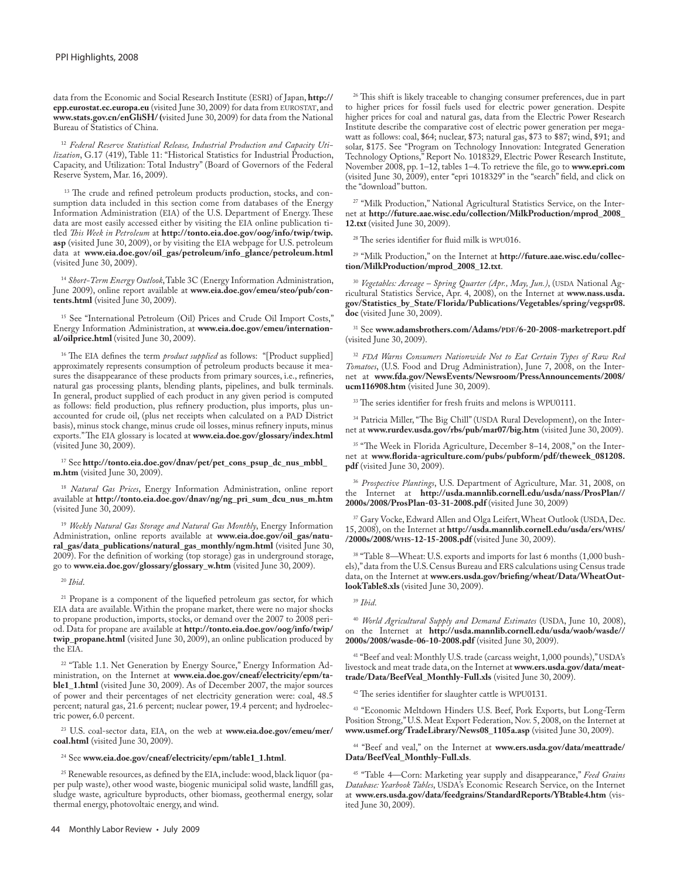data from the Economic and Social Research Institute (ESRI) of Japan, **http:// epp.eurostat.ec.europa.eu** (visited June 30, 2009) for data from EUROSTAT, and **www.stats.gov.cn/enGliSH/ (**visited June 30, 2009) for data from the National Bureau of Statistics of China.

<sup>12</sup> *Federal Reserve Statistical Release, Industrial Production and Capacity Utilization*, G.17 (419), Table 11: "Historical Statistics for Industrial Production, Capacity, and Utilization: Total Industry" (Board of Governors of the Federal Reserve System, Mar. 16, 2009).

<sup>13</sup> The crude and refined petroleum products production, stocks, and consumption data included in this section come from databases of the Energy Information Administration (EIA) of the U.S. Department of Energy. These data are most easily accessed either by visiting the EIA online publication titled *This Week in Petroleum* at **http://tonto.eia.doe.gov/oog/info/twip/twip. asp** (visited June 30, 2009), or by visiting the EIA webpage for U.S. petroleum data at **www.eia.doe.gov/oil\_gas/petroleum/info\_glance/petroleum.html**  (visited June 30, 2009).

<sup>14</sup> *Short-Term Energy Outlook*, Table 3C (Energy Information Administration, June 2009), online report available at **www.eia.doe.gov/emeu/steo/pub/contents.html** (visited June 30, 2009).

<sup>15</sup> See "International Petroleum (Oil) Prices and Crude Oil Import Costs," Energy Information Administration, at **www.eia.doe.gov/emeu/international/oilprice.html** (visited June 30, 2009).

<sup>16</sup> The EIA defines the term *product supplied* as follows: "[Product supplied] approximately represents consumption of petroleum products because it measures the disappearance of these products from primary sources, i.e., refineries, natural gas processing plants, blending plants, pipelines, and bulk terminals. In general, product supplied of each product in any given period is computed as follows: field production, plus refinery production, plus imports, plus unaccounted for crude oil, (plus net receipts when calculated on a PAD District basis), minus stock change, minus crude oil losses, minus refinery inputs, minus exports." The EIA glossary is located at **www.eia.doe.gov/glossary/index.html** (visited June 30, 2009).

17 See **http://tonto.eia.doe.gov/dnav/pet/pet\_cons\_psup\_dc\_nus\_mbbl\_ m.htm** (visited June 30, 2009).

<sup>18</sup> *Natural Gas Prices*, Energy Information Administration, online report available at **http://tonto.eia.doe.gov/dnav/ng/ng\_pri\_sum\_dcu\_nus\_m.htm**  (visited June 30, 2009).

<sup>19</sup> *Weekly Natural Gas Storage and Natural Gas Monthly*, Energy Information Administration, online reports available at **www.eia.doe.gov/oil\_gas/natural\_gas/data\_publications/natural\_gas\_monthly/ngm.html** (visited June 30, 2009). For the definition of working (top storage) gas in underground storage, go to **www.eia.doe.gov/glossary/glossary\_w.htm** (visited June 30, 2009).

<sup>20</sup> *Ibid*.

<sup>21</sup> Propane is a component of the liquefied petroleum gas sector, for which EIA data are available. Within the propane market, there were no major shocks to propane production, imports, stocks, or demand over the 2007 to 2008 period. Data for propane are available at **http://tonto.eia.doe.gov/oog/info/twip/ twip\_propane.html** (visited June 30, 2009), an online publication produced by the EIA.

<sup>22</sup> "Table 1.1. Net Generation by Energy Source," Energy Information Administration, on the Internet at **www.eia.doe.gov/cneaf/electricity/epm/table1\_1.html** (visited June 30, 2009). As of December 2007, the major sources of power and their percentages of net electricity generation were: coal, 48.5 percent; natural gas, 21.6 percent; nuclear power, 19.4 percent; and hydroelectric power, 6.0 percent.

23 U.S. coal-sector data, EIA, on the web at **www.eia.doe.gov/emeu/mer/ coal.html** (visited June 30, 2009).

#### 24 See **www.eia.doe.gov/cneaf/electricity/epm/table1\_1.html**.

25 Renewable resources, as defined by the EIA, include: wood, black liquor (paper pulp waste), other wood waste, biogenic municipal solid waste, landfill gas, sludge waste, agriculture byproducts, other biomass, geothermal energy, solar thermal energy, photovoltaic energy, and wind.

<sup>26</sup> This shift is likely traceable to changing consumer preferences, due in part to higher prices for fossil fuels used for electric power generation. Despite higher prices for coal and natural gas, data from the Electric Power Research Institute describe the comparative cost of electric power generation per megawatt as follows: coal, \$64; nuclear, \$73; natural gas, \$73 to \$87; wind, \$91; and solar, \$175. See "Program on Technology Innovation: Integrated Generation Technology Options," Report No. 1018329, Electric Power Research Institute, November 2008, pp. 1–12, tables 1–4. To retrieve the file, go to **www.epri.com** (visited June 30, 2009), enter "epri 1018329" in the "search" field, and click on the "download" button.

27 "Milk Production," National Agricultural Statistics Service, on the Internet at **http://future.aae.wisc.edu/collection/MilkProduction/mprod\_2008\_ 12.txt** (visited June 30, 2009).

28 The series identifier for fluid milk is WPU016.

29 "Milk Production," on the Internet at **http://future.aae.wisc.edu/collection/MilkProduction/mprod\_2008\_12.txt**.

<sup>30</sup> *Vegetables: Acreage – Spring Quarter (Apr., May, Jun.)*, (USDA National Agricultural Statistics Service, Apr. 4, 2008), on the Internet at **www.nass.usda. gov/Statistics\_by\_State/Florida/Publications/Vegetables/spring/vegspr08. doc** (visited June 30, 2009).

31 See **www.adamsbrothers.com/Adams/PDF/6-20-2008-marketreport.pdf**  (visited June 30, 2009).

<sup>32</sup> *FDA Warns Consumers Nationwide Not to Eat Certain Types of Raw Red Tomatoes*, (U.S. Food and Drug Administration), June 7, 2008, on the Internet at **www.fda.gov/NewsEvents/Newsroom/PressAnnouncements/2008/ ucm116908.htm** (visited June 30, 2009).

<sup>33</sup> The series identifier for fresh fruits and melons is WPU0111.

34 Patricia Miller, "The Big Chill" (USDA Rural Development), on the Internet at **www.rurdev.usda.gov/rbs/pub/mar07/big.htm** (visited June 30, 2009).

<sup>35 "</sup>The Week in Florida Agriculture, December 8-14, 2008," on the Internet at **www.florida-agriculture.com/pubs/pubform/pdf/theweek\_081208. pdf** (visited June 30, 2009).

<sup>36</sup> *Prospective Plantings*, U.S. Department of Agriculture, Mar. 31, 2008, on the Internet at **http://usda.mannlib.cornell.edu/usda/nass/ProsPlan// 2000s/2008/ProsPlan-03-31-2008.pdf** (visited June 30, 2009)

<sup>37</sup> Gary Vocke, Edward Allen and Olga Leifert, Wheat Outlook (USDA, Dec. 15, 2008), on the Internet at **http://usda.mannlib.cornell.edu/usda/ers/WHS/ /2000s/2008/WHS-12-15-2008.pdf** (visited June 30, 2009).

<sup>38</sup> "Table 8—Wheat: U.S. exports and imports for last 6 months (1,000 bushels)," data from the U.S. Census Bureau and ERS calculations using Census trade data, on the Internet at **www.ers.usda.gov/briefing/wheat/Data/WheatOutlookTable8.xls** (visited June 30, 2009).

<sup>40</sup> *World Agricultural Supply and Demand Estimates* (USDA, June 10, 2008), on the Internet at **http://usda.mannlib.cornell.edu/usda/waob/wasde// 2000s/2008/wasde-06-10-2008.pdf** (visited June 30, 2009).

41 "Beef and veal: Monthly U.S. trade (carcass weight, 1,000 pounds)," USDA's livestock and meat trade data, on the Internet at **www.ers.usda.gov/data/meattrade/Data/BeefVeal\_Monthly-Full.xls** (visited June 30, 2009).

<sup>42</sup> The series identifier for slaughter cattle is WPU0131.

<sup>43</sup> "Economic Meltdown Hinders U.S. Beef, Pork Exports, but Long-Term Position Strong," U.S. Meat Export Federation, Nov. 5, 2008, on the Internet at **www.usmef.org/TradeLibrary/News08\_1105a.asp** (visited June 30, 2009).

44 "Beef and veal," on the Internet at **www.ers.usda.gov/data/meattrade/ Data/BeefVeal\_Monthly-Full.xls**.

45 "Table 4—Corn: Marketing year supply and disappearance," *Feed Grains Database: Yearbook Tables*, USDA's Economic Research Service, on the Internet at **www.ers.usda.gov/data/feedgrains/StandardReports/YBtable4.htm** (visited June 30, 2009).

<sup>39</sup> *Ibid*.